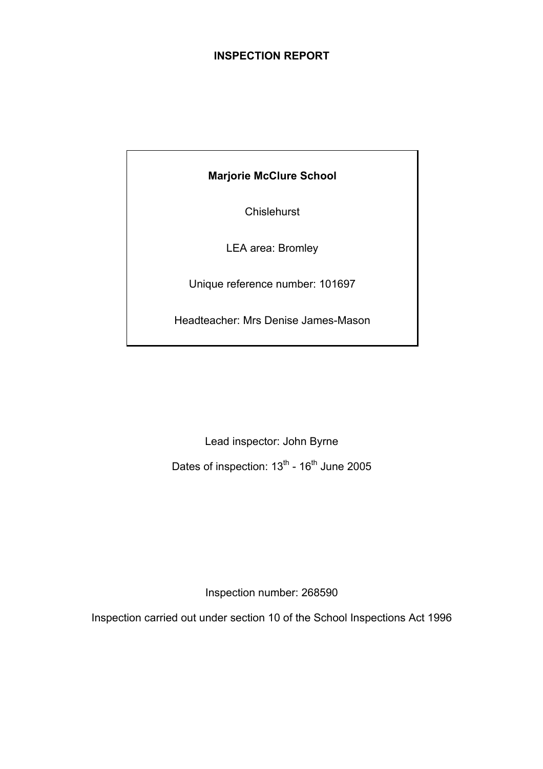## **INSPECTION REPORT**

## **Marjorie McClure School**

**Chislehurst** 

LEA area: Bromley

Unique reference number: 101697

Headteacher: Mrs Denise James-Mason

Lead inspector: John Byrne Dates of inspection: 13<sup>th</sup> - 16<sup>th</sup> June 2005

Inspection number: 268590

Inspection carried out under section 10 of the School Inspections Act 1996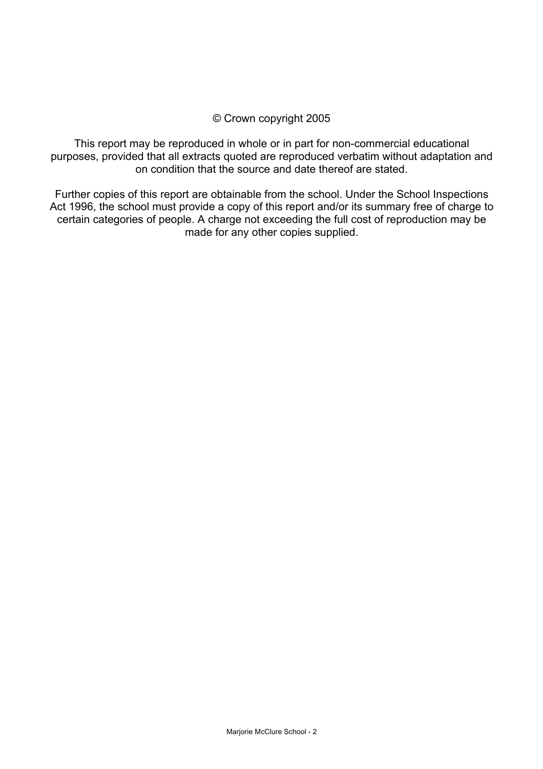### © Crown copyright 2005

This report may be reproduced in whole or in part for non-commercial educational purposes, provided that all extracts quoted are reproduced verbatim without adaptation and on condition that the source and date thereof are stated.

Further copies of this report are obtainable from the school. Under the School Inspections Act 1996, the school must provide a copy of this report and/or its summary free of charge to certain categories of people. A charge not exceeding the full cost of reproduction may be made for any other copies supplied.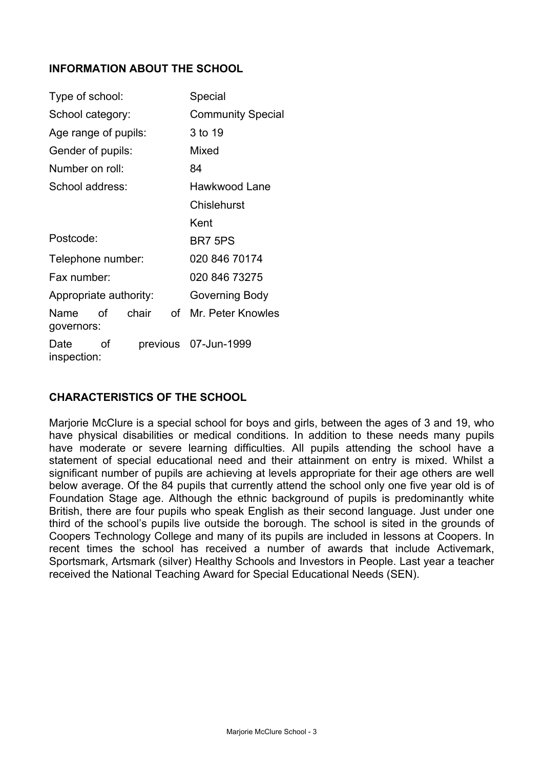## **INFORMATION ABOUT THE SCHOOL**

| Type of school:        |    |       |    | Special                  |  |
|------------------------|----|-------|----|--------------------------|--|
| School category:       |    |       |    | <b>Community Special</b> |  |
| Age range of pupils:   |    |       |    | 3 to 19                  |  |
| Gender of pupils:      |    |       |    | Mixed                    |  |
| Number on roll:        |    |       |    | 84                       |  |
| School address:        |    |       |    | Hawkwood Lane            |  |
|                        |    |       |    | Chislehurst              |  |
|                        |    |       |    | Kent                     |  |
| Postcode:              |    |       |    | BR7 5PS                  |  |
| Telephone number:      |    |       |    | 020 846 70174            |  |
| Fax number:            |    |       |    | 020 846 73275            |  |
| Appropriate authority: |    |       |    | Governing Body           |  |
| Name<br>governors:     | Ωf | chair | οf | Mr. Peter Knowles        |  |
| Date<br>inspection:    | οf |       |    | previous 07-Jun-1999     |  |

## **CHARACTERISTICS OF THE SCHOOL**

Marjorie McClure is a special school for boys and girls, between the ages of 3 and 19, who have physical disabilities or medical conditions. In addition to these needs many pupils have moderate or severe learning difficulties. All pupils attending the school have a statement of special educational need and their attainment on entry is mixed. Whilst a significant number of pupils are achieving at levels appropriate for their age others are well below average. Of the 84 pupils that currently attend the school only one five year old is of Foundation Stage age. Although the ethnic background of pupils is predominantly white British, there are four pupils who speak English as their second language. Just under one third of the school's pupils live outside the borough. The school is sited in the grounds of Coopers Technology College and many of its pupils are included in lessons at Coopers. In recent times the school has received a number of awards that include Activemark, Sportsmark, Artsmark (silver) Healthy Schools and Investors in People. Last year a teacher received the National Teaching Award for Special Educational Needs (SEN).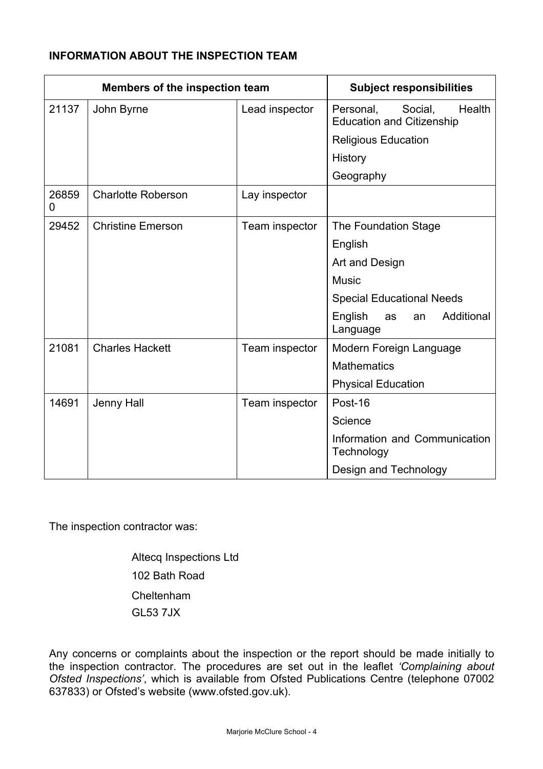## **INFORMATION ABOUT THE INSPECTION TEAM**

| Members of the inspection team |                           | <b>Subject responsibilities</b> |                                                                    |
|--------------------------------|---------------------------|---------------------------------|--------------------------------------------------------------------|
| 21137                          | John Byrne                | Lead inspector                  | Social,<br>Health<br>Personal,<br><b>Education and Citizenship</b> |
|                                |                           |                                 | <b>Religious Education</b>                                         |
|                                |                           |                                 | History                                                            |
|                                |                           |                                 | Geography                                                          |
| 26859<br>0                     | <b>Charlotte Roberson</b> | Lay inspector                   |                                                                    |
| 29452                          | <b>Christine Emerson</b>  | Team inspector                  | The Foundation Stage                                               |
|                                |                           |                                 | English                                                            |
|                                |                           |                                 | Art and Design                                                     |
|                                |                           |                                 | <b>Music</b>                                                       |
|                                |                           |                                 | <b>Special Educational Needs</b>                                   |
|                                |                           |                                 | English<br>Additional<br>as<br>an<br>Language                      |
| 21081                          | <b>Charles Hackett</b>    | Team inspector                  | Modern Foreign Language                                            |
|                                |                           |                                 | <b>Mathematics</b>                                                 |
|                                |                           |                                 | <b>Physical Education</b>                                          |
| 14691                          | Jenny Hall                | Team inspector                  | Post-16                                                            |
|                                |                           |                                 | Science                                                            |
|                                |                           |                                 | Information and Communication<br>Technology                        |
|                                |                           |                                 | Design and Technology                                              |

The inspection contractor was:

 Altecq Inspections Ltd 102 Bath Road Cheltenham GL53 7JX

Any concerns or complaints about the inspection or the report should be made initially to the inspection contractor. The procedures are set out in the leaflet *'Complaining about Ofsted Inspections'*, which is available from Ofsted Publications Centre (telephone 07002 637833) or Ofsted's website (www.ofsted.gov.uk).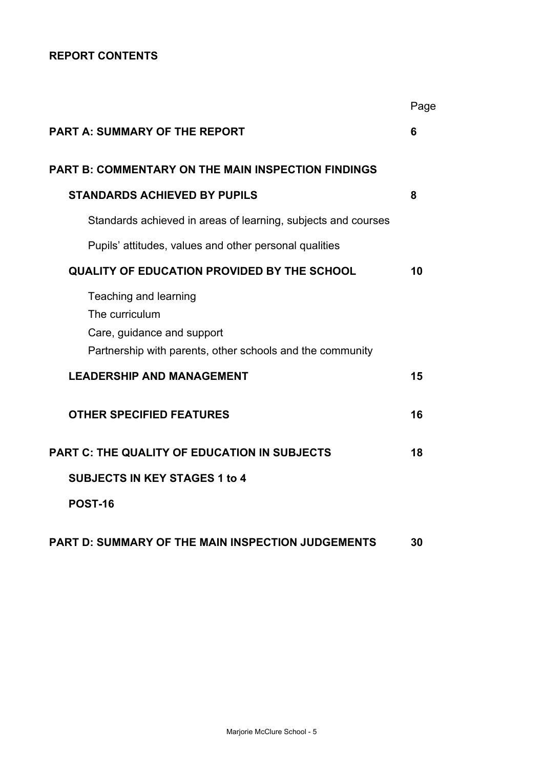## **REPORT CONTENTS**

|                                                                                                                                    | Page |
|------------------------------------------------------------------------------------------------------------------------------------|------|
| <b>PART A: SUMMARY OF THE REPORT</b>                                                                                               | 6    |
| <b>PART B: COMMENTARY ON THE MAIN INSPECTION FINDINGS</b>                                                                          |      |
| <b>STANDARDS ACHIEVED BY PUPILS</b>                                                                                                | 8    |
| Standards achieved in areas of learning, subjects and courses                                                                      |      |
| Pupils' attitudes, values and other personal qualities                                                                             |      |
| <b>QUALITY OF EDUCATION PROVIDED BY THE SCHOOL</b>                                                                                 | 10   |
| Teaching and learning<br>The curriculum<br>Care, guidance and support<br>Partnership with parents, other schools and the community |      |
| <b>LEADERSHIP AND MANAGEMENT</b>                                                                                                   | 15   |
| <b>OTHER SPECIFIED FEATURES</b>                                                                                                    | 16   |
| PART C: THE QUALITY OF EDUCATION IN SUBJECTS                                                                                       | 18   |
| <b>SUBJECTS IN KEY STAGES 1 to 4</b>                                                                                               |      |
| <b>POST-16</b>                                                                                                                     |      |
| <b>PART D: SUMMARY OF THE MAIN INSPECTION JUDGEMENTS</b>                                                                           | 30   |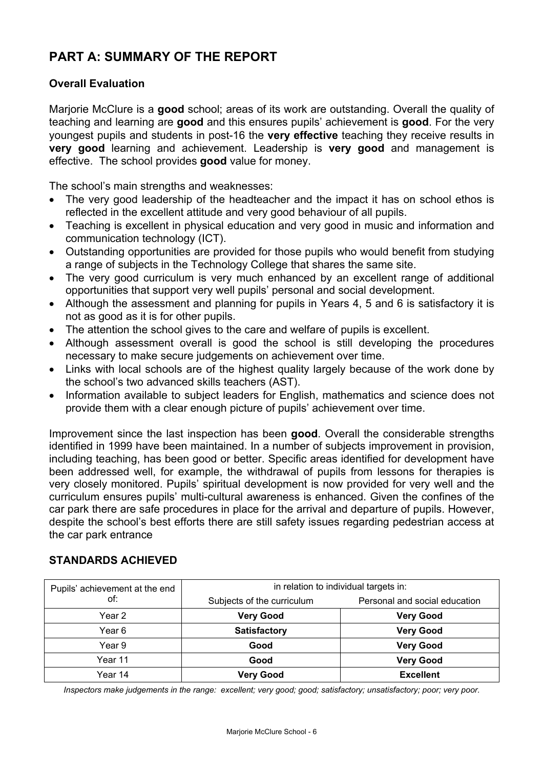# **PART A: SUMMARY OF THE REPORT**

## **Overall Evaluation**

Marjorie McClure is a **good** school; areas of its work are outstanding. Overall the quality of teaching and learning are **good** and this ensures pupils' achievement is **good**. For the very youngest pupils and students in post-16 the **very effective** teaching they receive results in **very good** learning and achievement. Leadership is **very good** and management is effective. The school provides **good** value for money.

The school's main strengths and weaknesses:

- The very good leadership of the headteacher and the impact it has on school ethos is reflected in the excellent attitude and very good behaviour of all pupils.
- Teaching is excellent in physical education and very good in music and information and communication technology (ICT).
- Outstanding opportunities are provided for those pupils who would benefit from studying a range of subjects in the Technology College that shares the same site.
- The very good curriculum is very much enhanced by an excellent range of additional opportunities that support very well pupils' personal and social development.
- Although the assessment and planning for pupils in Years 4, 5 and 6 is satisfactory it is not as good as it is for other pupils.
- The attention the school gives to the care and welfare of pupils is excellent.
- Although assessment overall is good the school is still developing the procedures necessary to make secure judgements on achievement over time.
- Links with local schools are of the highest quality largely because of the work done by the school's two advanced skills teachers (AST).
- Information available to subject leaders for English, mathematics and science does not provide them with a clear enough picture of pupils' achievement over time.

Improvement since the last inspection has been **good**. Overall the considerable strengths identified in 1999 have been maintained. In a number of subjects improvement in provision, including teaching, has been good or better. Specific areas identified for development have been addressed well, for example, the withdrawal of pupils from lessons for therapies is very closely monitored. Pupils' spiritual development is now provided for very well and the curriculum ensures pupils' multi-cultural awareness is enhanced. Given the confines of the car park there are safe procedures in place for the arrival and departure of pupils. However, despite the school's best efforts there are still safety issues regarding pedestrian access at the car park entrance

| Pupils' achievement at the end | in relation to individual targets in: |                               |  |  |
|--------------------------------|---------------------------------------|-------------------------------|--|--|
| of:                            | Subjects of the curriculum            | Personal and social education |  |  |
| Year 2                         | <b>Very Good</b>                      | <b>Very Good</b>              |  |  |
| Year 6                         | <b>Satisfactory</b>                   | <b>Very Good</b>              |  |  |
| Year 9                         | Good                                  | <b>Very Good</b>              |  |  |
| Year 11                        | Good                                  | <b>Very Good</b>              |  |  |
| Year 14                        | <b>Very Good</b>                      | <b>Excellent</b>              |  |  |

## **STANDARDS ACHIEVED**

*Inspectors make judgements in the range: excellent; very good; good; satisfactory; unsatisfactory; poor; very poor.*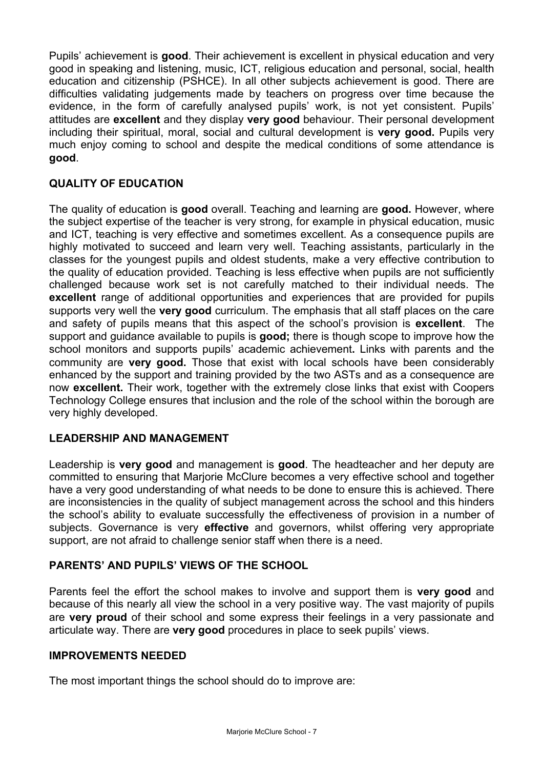Pupils' achievement is **good**. Their achievement is excellent in physical education and very good in speaking and listening, music, ICT, religious education and personal, social, health education and citizenship (PSHCE). In all other subjects achievement is good. There are difficulties validating judgements made by teachers on progress over time because the evidence, in the form of carefully analysed pupils' work, is not yet consistent. Pupils' attitudes are **excellent** and they display **very good** behaviour. Their personal development including their spiritual, moral, social and cultural development is **very good.** Pupils very much enjoy coming to school and despite the medical conditions of some attendance is **good**.

## **QUALITY OF EDUCATION**

The quality of education is **good** overall. Teaching and learning are **good.** However, where the subject expertise of the teacher is very strong, for example in physical education, music and ICT, teaching is very effective and sometimes excellent. As a consequence pupils are highly motivated to succeed and learn very well. Teaching assistants, particularly in the classes for the youngest pupils and oldest students, make a very effective contribution to the quality of education provided. Teaching is less effective when pupils are not sufficiently challenged because work set is not carefully matched to their individual needs. The **excellent** range of additional opportunities and experiences that are provided for pupils supports very well the **very good** curriculum. The emphasis that all staff places on the care and safety of pupils means that this aspect of the school's provision is **excellent**. The support and guidance available to pupils is **good;** there is though scope to improve how the school monitors and supports pupils' academic achievement**.** Links with parents and the community are **very good.** Those that exist with local schools have been considerably enhanced by the support and training provided by the two ASTs and as a consequence are now **excellent.** Their work, together with the extremely close links that exist with Coopers Technology College ensures that inclusion and the role of the school within the borough are very highly developed.

## **LEADERSHIP AND MANAGEMENT**

Leadership is **very good** and management is **good**. The headteacher and her deputy are committed to ensuring that Marjorie McClure becomes a very effective school and together have a very good understanding of what needs to be done to ensure this is achieved. There are inconsistencies in the quality of subject management across the school and this hinders the school's ability to evaluate successfully the effectiveness of provision in a number of subjects. Governance is very **effective** and governors, whilst offering very appropriate support, are not afraid to challenge senior staff when there is a need.

## **PARENTS' AND PUPILS' VIEWS OF THE SCHOOL**

Parents feel the effort the school makes to involve and support them is **very good** and because of this nearly all view the school in a very positive way. The vast majority of pupils are **very proud** of their school and some express their feelings in a very passionate and articulate way. There are **very good** procedures in place to seek pupils' views.

#### **IMPROVEMENTS NEEDED**

The most important things the school should do to improve are: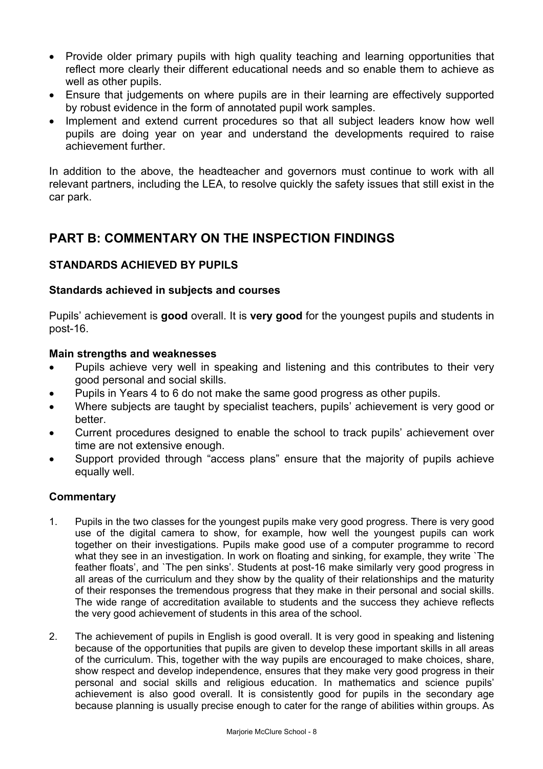- Provide older primary pupils with high quality teaching and learning opportunities that reflect more clearly their different educational needs and so enable them to achieve as well as other pupils.
- Ensure that judgements on where pupils are in their learning are effectively supported by robust evidence in the form of annotated pupil work samples.
- Implement and extend current procedures so that all subject leaders know how well pupils are doing year on year and understand the developments required to raise achievement further.

In addition to the above, the headteacher and governors must continue to work with all relevant partners, including the LEA, to resolve quickly the safety issues that still exist in the car park.

## **PART B: COMMENTARY ON THE INSPECTION FINDINGS**

## **STANDARDS ACHIEVED BY PUPILS**

#### **Standards achieved in subjects and courses**

Pupils' achievement is **good** overall. It is **very good** for the youngest pupils and students in post-16.

#### **Main strengths and weaknesses**

- Pupils achieve very well in speaking and listening and this contributes to their very good personal and social skills.
- Pupils in Years 4 to 6 do not make the same good progress as other pupils.
- Where subjects are taught by specialist teachers, pupils' achievement is very good or better.
- Current procedures designed to enable the school to track pupils' achievement over time are not extensive enough.
- Support provided through "access plans" ensure that the majority of pupils achieve equally well.

- 1. Pupils in the two classes for the youngest pupils make very good progress. There is very good use of the digital camera to show, for example, how well the youngest pupils can work together on their investigations. Pupils make good use of a computer programme to record what they see in an investigation. In work on floating and sinking, for example, they write `The feather floats', and `The pen sinks'. Students at post-16 make similarly very good progress in all areas of the curriculum and they show by the quality of their relationships and the maturity of their responses the tremendous progress that they make in their personal and social skills. The wide range of accreditation available to students and the success they achieve reflects the very good achievement of students in this area of the school.
- 2. The achievement of pupils in English is good overall. It is very good in speaking and listening because of the opportunities that pupils are given to develop these important skills in all areas of the curriculum. This, together with the way pupils are encouraged to make choices, share, show respect and develop independence, ensures that they make very good progress in their personal and social skills and religious education. In mathematics and science pupils' achievement is also good overall. It is consistently good for pupils in the secondary age because planning is usually precise enough to cater for the range of abilities within groups. As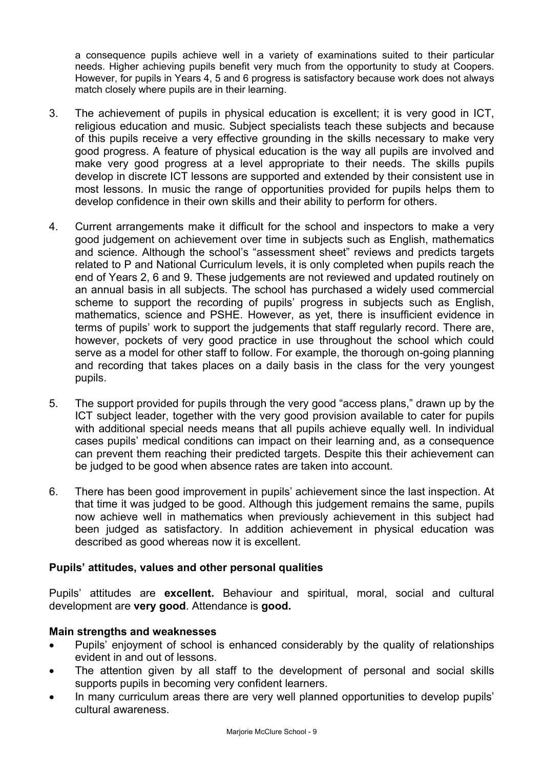a consequence pupils achieve well in a variety of examinations suited to their particular needs. Higher achieving pupils benefit very much from the opportunity to study at Coopers. However, for pupils in Years 4, 5 and 6 progress is satisfactory because work does not always match closely where pupils are in their learning.

- 3. The achievement of pupils in physical education is excellent; it is very good in ICT, religious education and music. Subject specialists teach these subjects and because of this pupils receive a very effective grounding in the skills necessary to make very good progress. A feature of physical education is the way all pupils are involved and make very good progress at a level appropriate to their needs. The skills pupils develop in discrete ICT lessons are supported and extended by their consistent use in most lessons. In music the range of opportunities provided for pupils helps them to develop confidence in their own skills and their ability to perform for others.
- 4. Current arrangements make it difficult for the school and inspectors to make a very good judgement on achievement over time in subjects such as English, mathematics and science. Although the school's "assessment sheet" reviews and predicts targets related to P and National Curriculum levels, it is only completed when pupils reach the end of Years 2, 6 and 9. These judgements are not reviewed and updated routinely on an annual basis in all subjects. The school has purchased a widely used commercial scheme to support the recording of pupils' progress in subjects such as English, mathematics, science and PSHE. However, as yet, there is insufficient evidence in terms of pupils' work to support the judgements that staff regularly record. There are, however, pockets of very good practice in use throughout the school which could serve as a model for other staff to follow. For example, the thorough on-going planning and recording that takes places on a daily basis in the class for the very youngest pupils.
- 5. The support provided for pupils through the very good "access plans," drawn up by the ICT subject leader, together with the very good provision available to cater for pupils with additional special needs means that all pupils achieve equally well. In individual cases pupils' medical conditions can impact on their learning and, as a consequence can prevent them reaching their predicted targets. Despite this their achievement can be judged to be good when absence rates are taken into account.
- 6. There has been good improvement in pupils' achievement since the last inspection. At that time it was judged to be good. Although this judgement remains the same, pupils now achieve well in mathematics when previously achievement in this subject had been judged as satisfactory. In addition achievement in physical education was described as good whereas now it is excellent.

#### **Pupils' attitudes, values and other personal qualities**

Pupils' attitudes are **excellent.** Behaviour and spiritual, moral, social and cultural development are **very good**. Attendance is **good.** 

## **Main strengths and weaknesses**

- Pupils' enjoyment of school is enhanced considerably by the quality of relationships evident in and out of lessons.
- The attention given by all staff to the development of personal and social skills supports pupils in becoming very confident learners.
- In many curriculum areas there are very well planned opportunities to develop pupils' cultural awareness.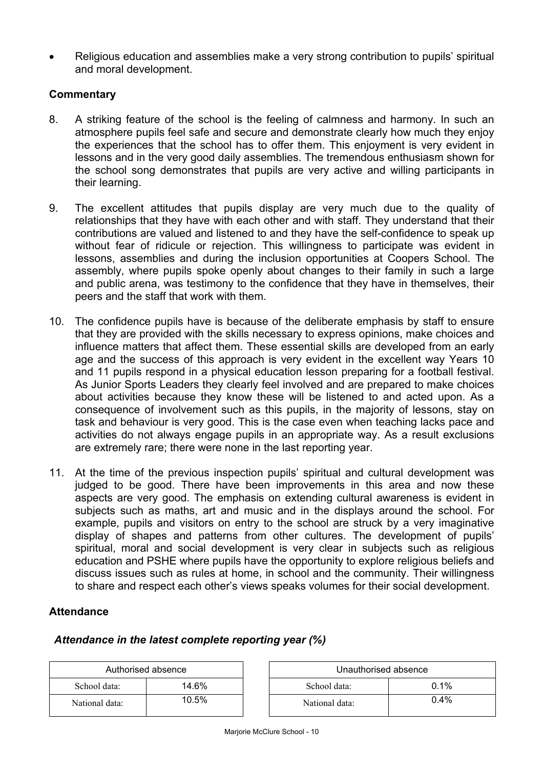• Religious education and assemblies make a very strong contribution to pupils' spiritual and moral development.

## **Commentary**

- 8. A striking feature of the school is the feeling of calmness and harmony. In such an atmosphere pupils feel safe and secure and demonstrate clearly how much they enjoy the experiences that the school has to offer them. This enjoyment is very evident in lessons and in the very good daily assemblies. The tremendous enthusiasm shown for the school song demonstrates that pupils are very active and willing participants in their learning.
- 9. The excellent attitudes that pupils display are very much due to the quality of relationships that they have with each other and with staff. They understand that their contributions are valued and listened to and they have the self-confidence to speak up without fear of ridicule or rejection. This willingness to participate was evident in lessons, assemblies and during the inclusion opportunities at Coopers School. The assembly, where pupils spoke openly about changes to their family in such a large and public arena, was testimony to the confidence that they have in themselves, their peers and the staff that work with them.
- 10. The confidence pupils have is because of the deliberate emphasis by staff to ensure that they are provided with the skills necessary to express opinions, make choices and influence matters that affect them. These essential skills are developed from an early age and the success of this approach is very evident in the excellent way Years 10 and 11 pupils respond in a physical education lesson preparing for a football festival. As Junior Sports Leaders they clearly feel involved and are prepared to make choices about activities because they know these will be listened to and acted upon. As a consequence of involvement such as this pupils, in the majority of lessons, stay on task and behaviour is very good. This is the case even when teaching lacks pace and activities do not always engage pupils in an appropriate way. As a result exclusions are extremely rare; there were none in the last reporting year.
- 11. At the time of the previous inspection pupils' spiritual and cultural development was judged to be good. There have been improvements in this area and now these aspects are very good. The emphasis on extending cultural awareness is evident in subjects such as maths, art and music and in the displays around the school. For example, pupils and visitors on entry to the school are struck by a very imaginative display of shapes and patterns from other cultures. The development of pupils' spiritual, moral and social development is very clear in subjects such as religious education and PSHE where pupils have the opportunity to explore religious beliefs and discuss issues such as rules at home, in school and the community. Their willingness to share and respect each other's views speaks volumes for their social development.

#### **Attendance**

#### *Attendance in the latest complete reporting year (%)*

| Authorised absence |       | Unauthorised absence |      |
|--------------------|-------|----------------------|------|
| School data:       | 14.6% | School data:         | 0.1% |
| National data:     | 10.5% | National data:       | 0.4% |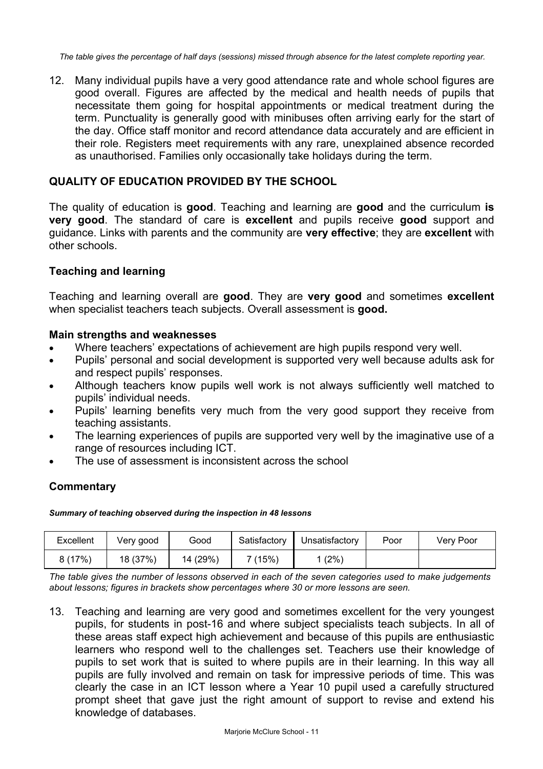*The table gives the percentage of half days (sessions) missed through absence for the latest complete reporting year.*

12. Many individual pupils have a very good attendance rate and whole school figures are good overall. Figures are affected by the medical and health needs of pupils that necessitate them going for hospital appointments or medical treatment during the term. Punctuality is generally good with minibuses often arriving early for the start of the day. Office staff monitor and record attendance data accurately and are efficient in their role. Registers meet requirements with any rare, unexplained absence recorded as unauthorised. Families only occasionally take holidays during the term.

### **QUALITY OF EDUCATION PROVIDED BY THE SCHOOL**

The quality of education is **good**. Teaching and learning are **good** and the curriculum **is very good**. The standard of care is **excellent** and pupils receive **good** support and guidance. Links with parents and the community are **very effective**; they are **excellent** with other schools.

#### **Teaching and learning**

Teaching and learning overall are **good**. They are **very good** and sometimes **excellent** when specialist teachers teach subjects. Overall assessment is **good.**

#### **Main strengths and weaknesses**

- Where teachers' expectations of achievement are high pupils respond very well.
- Pupils' personal and social development is supported very well because adults ask for and respect pupils' responses.
- Although teachers know pupils well work is not always sufficiently well matched to pupils' individual needs.
- Pupils' learning benefits very much from the very good support they receive from teaching assistants.
- The learning experiences of pupils are supported very well by the imaginative use of a range of resources including ICT.
- The use of assessment is inconsistent across the school

## **Commentary**

*Summary of teaching observed during the inspection in 48 lessons*

| Excellent | Very good | Good     | Satisfactory | Unsatisfactory | Poor | <b>Very Poor</b> |
|-----------|-----------|----------|--------------|----------------|------|------------------|
| 8(17%)    | 18 (37%)  | 14 (29%) | 7 (15%)      | (2%)           |      |                  |

*The table gives the number of lessons observed in each of the seven categories used to make judgements about lessons; figures in brackets show percentages where 30 or more lessons are seen.* 

13. Teaching and learning are very good and sometimes excellent for the very youngest pupils, for students in post-16 and where subject specialists teach subjects. In all of these areas staff expect high achievement and because of this pupils are enthusiastic learners who respond well to the challenges set. Teachers use their knowledge of pupils to set work that is suited to where pupils are in their learning. In this way all pupils are fully involved and remain on task for impressive periods of time. This was clearly the case in an ICT lesson where a Year 10 pupil used a carefully structured prompt sheet that gave just the right amount of support to revise and extend his knowledge of databases.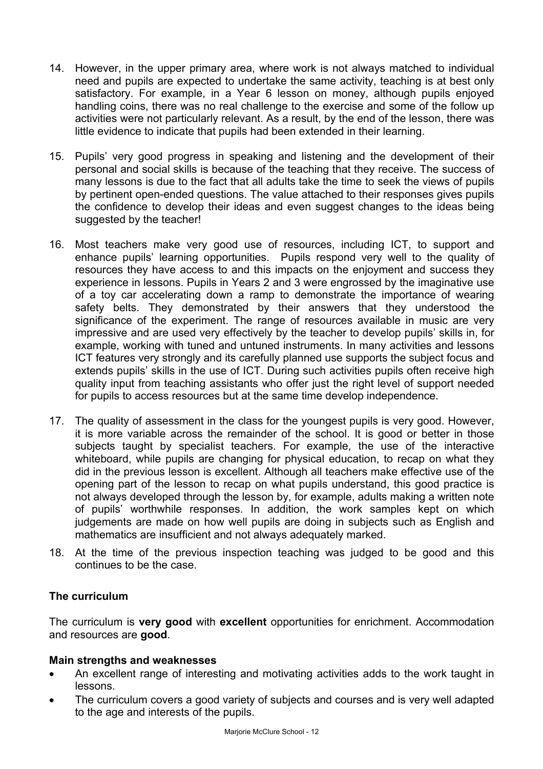- 14. However, in the upper primary area, where work is not always matched to individual need and pupils are expected to undertake the same activity, teaching is at best only satisfactory. For example, in a Year 6 lesson on money, although pupils enjoyed handling coins, there was no real challenge to the exercise and some of the follow up activities were not particularly relevant. As a result, by the end of the lesson, there was little evidence to indicate that pupils had been extended in their learning.
- 15. Pupils' very good progress in speaking and listening and the development of their personal and social skills is because of the teaching that they receive. The success of many lessons is due to the fact that all adults take the time to seek the views of pupils by pertinent open-ended questions. The value attached to their responses gives pupils the confidence to develop their ideas and even suggest changes to the ideas being suggested by the teacher!
- 16. Most teachers make very good use of resources, including ICT, to support and enhance pupils' learning opportunities. Pupils respond very well to the quality of resources they have access to and this impacts on the enjoyment and success they experience in lessons. Pupils in Years 2 and 3 were engrossed by the imaginative use of a toy car accelerating down a ramp to demonstrate the importance of wearing safety belts. They demonstrated by their answers that they understood the significance of the experiment. The range of resources available in music are very impressive and are used very effectively by the teacher to develop pupils' skills in, for example, working with tuned and untuned instruments. In many activities and lessons ICT features very strongly and its carefully planned use supports the subject focus and extends pupils' skills in the use of ICT. During such activities pupils often receive high quality input from teaching assistants who offer just the right level of support needed for pupils to access resources but at the same time develop independence.
- 17. The quality of assessment in the class for the youngest pupils is very good. However, it is more variable across the remainder of the school. It is good or better in those subjects taught by specialist teachers. For example, the use of the interactive whiteboard, while pupils are changing for physical education, to recap on what they did in the previous lesson is excellent. Although all teachers make effective use of the opening part of the lesson to recap on what pupils understand, this good practice is not always developed through the lesson by, for example, adults making a written note of pupils' worthwhile responses. In addition, the work samples kept on which judgements are made on how well pupils are doing in subjects such as English and mathematics are insufficient and not always adequately marked.
- 18. At the time of the previous inspection teaching was judged to be good and this continues to be the case.

## **The curriculum**

The curriculum is **very good** with **excellent** opportunities for enrichment. Accommodation and resources are **good**.

#### **Main strengths and weaknesses**

- An excellent range of interesting and motivating activities adds to the work taught in lessons.
- The curriculum covers a good variety of subjects and courses and is very well adapted to the age and interests of the pupils.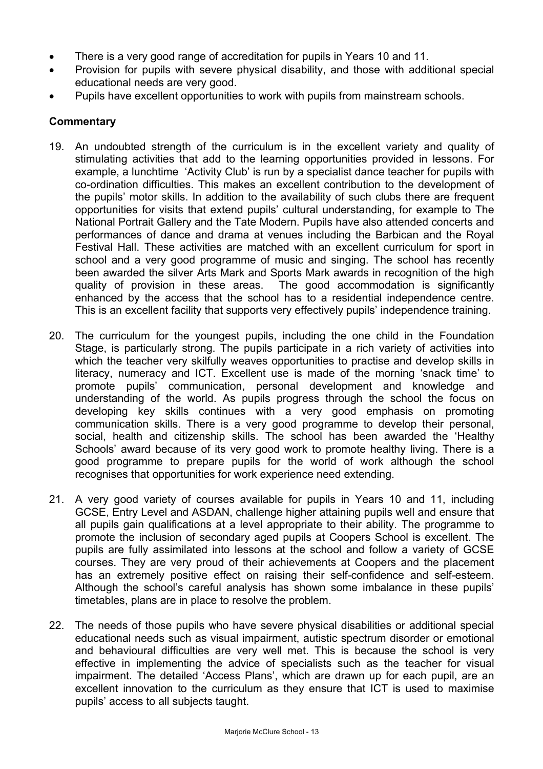- There is a very good range of accreditation for pupils in Years 10 and 11.
- Provision for pupils with severe physical disability, and those with additional special educational needs are very good.
- Pupils have excellent opportunities to work with pupils from mainstream schools.

- 19. An undoubted strength of the curriculum is in the excellent variety and quality of stimulating activities that add to the learning opportunities provided in lessons. For example, a lunchtime 'Activity Club' is run by a specialist dance teacher for pupils with co-ordination difficulties. This makes an excellent contribution to the development of the pupils' motor skills. In addition to the availability of such clubs there are frequent opportunities for visits that extend pupils' cultural understanding, for example to The National Portrait Gallery and the Tate Modern. Pupils have also attended concerts and performances of dance and drama at venues including the Barbican and the Royal Festival Hall. These activities are matched with an excellent curriculum for sport in school and a very good programme of music and singing. The school has recently been awarded the silver Arts Mark and Sports Mark awards in recognition of the high quality of provision in these areas. The good accommodation is significantly enhanced by the access that the school has to a residential independence centre. This is an excellent facility that supports very effectively pupils' independence training.
- 20. The curriculum for the youngest pupils, including the one child in the Foundation Stage, is particularly strong. The pupils participate in a rich variety of activities into which the teacher very skilfully weaves opportunities to practise and develop skills in literacy, numeracy and ICT. Excellent use is made of the morning 'snack time' to promote pupils' communication, personal development and knowledge and understanding of the world. As pupils progress through the school the focus on developing key skills continues with a very good emphasis on promoting communication skills. There is a very good programme to develop their personal, social, health and citizenship skills. The school has been awarded the 'Healthy Schools' award because of its very good work to promote healthy living. There is a good programme to prepare pupils for the world of work although the school recognises that opportunities for work experience need extending.
- 21. A very good variety of courses available for pupils in Years 10 and 11, including GCSE, Entry Level and ASDAN, challenge higher attaining pupils well and ensure that all pupils gain qualifications at a level appropriate to their ability. The programme to promote the inclusion of secondary aged pupils at Coopers School is excellent. The pupils are fully assimilated into lessons at the school and follow a variety of GCSE courses. They are very proud of their achievements at Coopers and the placement has an extremely positive effect on raising their self-confidence and self-esteem. Although the school's careful analysis has shown some imbalance in these pupils' timetables, plans are in place to resolve the problem.
- 22. The needs of those pupils who have severe physical disabilities or additional special educational needs such as visual impairment, autistic spectrum disorder or emotional and behavioural difficulties are very well met. This is because the school is very effective in implementing the advice of specialists such as the teacher for visual impairment. The detailed 'Access Plans', which are drawn up for each pupil, are an excellent innovation to the curriculum as they ensure that ICT is used to maximise pupils' access to all subjects taught.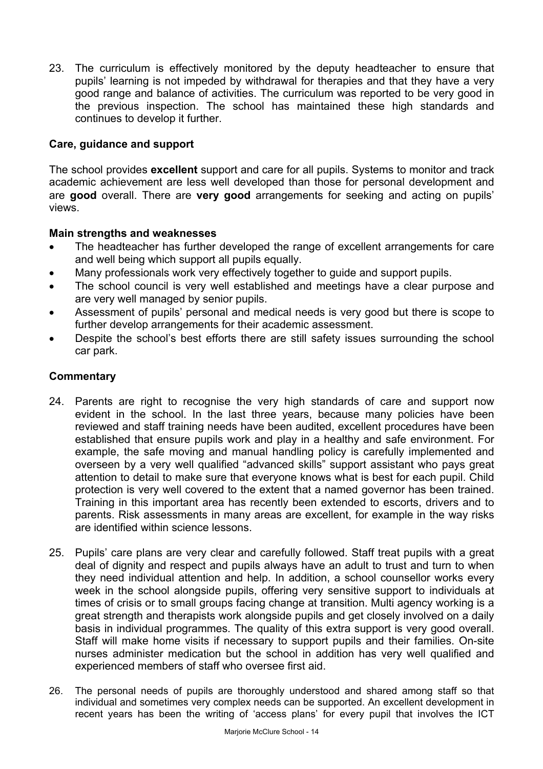23. The curriculum is effectively monitored by the deputy headteacher to ensure that pupils' learning is not impeded by withdrawal for therapies and that they have a very good range and balance of activities. The curriculum was reported to be very good in the previous inspection. The school has maintained these high standards and continues to develop it further.

## **Care, guidance and support**

The school provides **excellent** support and care for all pupils. Systems to monitor and track academic achievement are less well developed than those for personal development and are **good** overall. There are **very good** arrangements for seeking and acting on pupils' views.

#### **Main strengths and weaknesses**

- The headteacher has further developed the range of excellent arrangements for care and well being which support all pupils equally.
- Many professionals work very effectively together to guide and support pupils.
- The school council is very well established and meetings have a clear purpose and are very well managed by senior pupils.
- Assessment of pupils' personal and medical needs is very good but there is scope to further develop arrangements for their academic assessment.
- Despite the school's best efforts there are still safety issues surrounding the school car park.

- 24. Parents are right to recognise the very high standards of care and support now evident in the school. In the last three years, because many policies have been reviewed and staff training needs have been audited, excellent procedures have been established that ensure pupils work and play in a healthy and safe environment. For example, the safe moving and manual handling policy is carefully implemented and overseen by a very well qualified "advanced skills" support assistant who pays great attention to detail to make sure that everyone knows what is best for each pupil. Child protection is very well covered to the extent that a named governor has been trained. Training in this important area has recently been extended to escorts, drivers and to parents. Risk assessments in many areas are excellent, for example in the way risks are identified within science lessons.
- 25. Pupils' care plans are very clear and carefully followed. Staff treat pupils with a great deal of dignity and respect and pupils always have an adult to trust and turn to when they need individual attention and help. In addition, a school counsellor works every week in the school alongside pupils, offering very sensitive support to individuals at times of crisis or to small groups facing change at transition. Multi agency working is a great strength and therapists work alongside pupils and get closely involved on a daily basis in individual programmes. The quality of this extra support is very good overall. Staff will make home visits if necessary to support pupils and their families. On-site nurses administer medication but the school in addition has very well qualified and experienced members of staff who oversee first aid.
- 26. The personal needs of pupils are thoroughly understood and shared among staff so that individual and sometimes very complex needs can be supported. An excellent development in recent years has been the writing of 'access plans' for every pupil that involves the ICT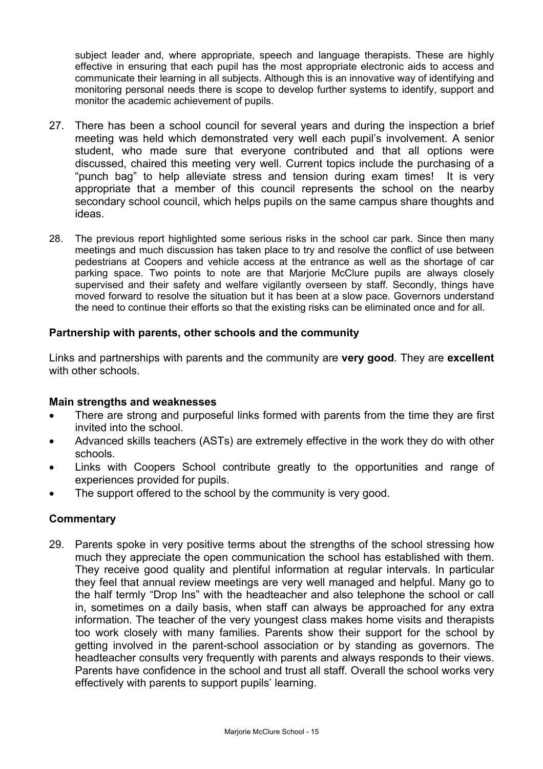subject leader and, where appropriate, speech and language therapists. These are highly effective in ensuring that each pupil has the most appropriate electronic aids to access and communicate their learning in all subjects. Although this is an innovative way of identifying and monitoring personal needs there is scope to develop further systems to identify, support and monitor the academic achievement of pupils.

- 27. There has been a school council for several years and during the inspection a brief meeting was held which demonstrated very well each pupil's involvement. A senior student, who made sure that everyone contributed and that all options were discussed, chaired this meeting very well. Current topics include the purchasing of a "punch bag" to help alleviate stress and tension during exam times! It is very appropriate that a member of this council represents the school on the nearby secondary school council, which helps pupils on the same campus share thoughts and ideas.
- 28. The previous report highlighted some serious risks in the school car park. Since then many meetings and much discussion has taken place to try and resolve the conflict of use between pedestrians at Coopers and vehicle access at the entrance as well as the shortage of car parking space. Two points to note are that Marjorie McClure pupils are always closely supervised and their safety and welfare vigilantly overseen by staff. Secondly, things have moved forward to resolve the situation but it has been at a slow pace. Governors understand the need to continue their efforts so that the existing risks can be eliminated once and for all.

#### **Partnership with parents, other schools and the community**

Links and partnerships with parents and the community are **very good**. They are **excellent** with other schools.

#### **Main strengths and weaknesses**

- There are strong and purposeful links formed with parents from the time they are first invited into the school.
- Advanced skills teachers (ASTs) are extremely effective in the work they do with other schools.
- Links with Coopers School contribute greatly to the opportunities and range of experiences provided for pupils.
- The support offered to the school by the community is very good.

#### **Commentary**

29. Parents spoke in very positive terms about the strengths of the school stressing how much they appreciate the open communication the school has established with them. They receive good quality and plentiful information at regular intervals. In particular they feel that annual review meetings are very well managed and helpful. Many go to the half termly "Drop Ins" with the headteacher and also telephone the school or call in, sometimes on a daily basis, when staff can always be approached for any extra information. The teacher of the very youngest class makes home visits and therapists too work closely with many families. Parents show their support for the school by getting involved in the parent-school association or by standing as governors. The headteacher consults very frequently with parents and always responds to their views. Parents have confidence in the school and trust all staff. Overall the school works very effectively with parents to support pupils' learning.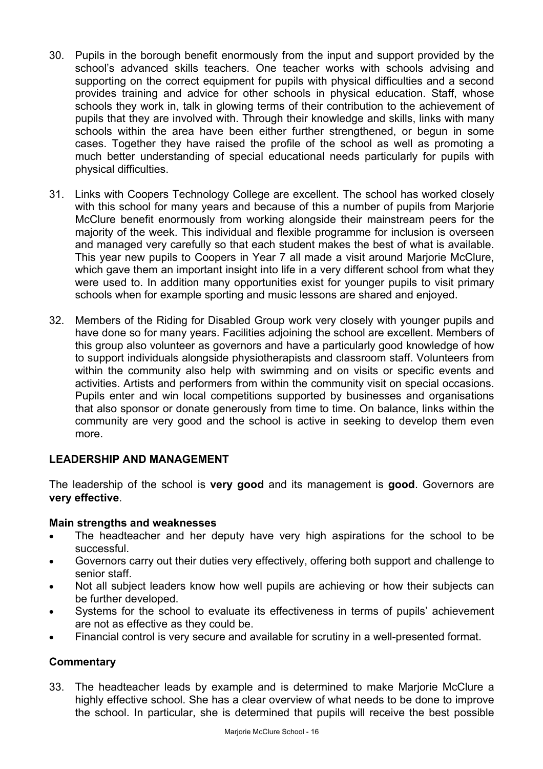- 30. Pupils in the borough benefit enormously from the input and support provided by the school's advanced skills teachers. One teacher works with schools advising and supporting on the correct equipment for pupils with physical difficulties and a second provides training and advice for other schools in physical education. Staff, whose schools they work in, talk in glowing terms of their contribution to the achievement of pupils that they are involved with. Through their knowledge and skills, links with many schools within the area have been either further strengthened, or begun in some cases. Together they have raised the profile of the school as well as promoting a much better understanding of special educational needs particularly for pupils with physical difficulties.
- 31. Links with Coopers Technology College are excellent. The school has worked closely with this school for many years and because of this a number of pupils from Mariorie McClure benefit enormously from working alongside their mainstream peers for the majority of the week. This individual and flexible programme for inclusion is overseen and managed very carefully so that each student makes the best of what is available. This year new pupils to Coopers in Year 7 all made a visit around Marjorie McClure, which gave them an important insight into life in a very different school from what they were used to. In addition many opportunities exist for younger pupils to visit primary schools when for example sporting and music lessons are shared and enjoyed.
- 32. Members of the Riding for Disabled Group work very closely with younger pupils and have done so for many years. Facilities adjoining the school are excellent. Members of this group also volunteer as governors and have a particularly good knowledge of how to support individuals alongside physiotherapists and classroom staff. Volunteers from within the community also help with swimming and on visits or specific events and activities. Artists and performers from within the community visit on special occasions. Pupils enter and win local competitions supported by businesses and organisations that also sponsor or donate generously from time to time. On balance, links within the community are very good and the school is active in seeking to develop them even more.

## **LEADERSHIP AND MANAGEMENT**

The leadership of the school is **very good** and its management is **good**. Governors are **very effective**.

#### **Main strengths and weaknesses**

- The headteacher and her deputy have very high aspirations for the school to be successful.
- Governors carry out their duties very effectively, offering both support and challenge to senior staff.
- Not all subject leaders know how well pupils are achieving or how their subjects can be further developed.
- Systems for the school to evaluate its effectiveness in terms of pupils' achievement are not as effective as they could be.
- Financial control is very secure and available for scrutiny in a well-presented format.

#### **Commentary**

33. The headteacher leads by example and is determined to make Marjorie McClure a highly effective school. She has a clear overview of what needs to be done to improve the school. In particular, she is determined that pupils will receive the best possible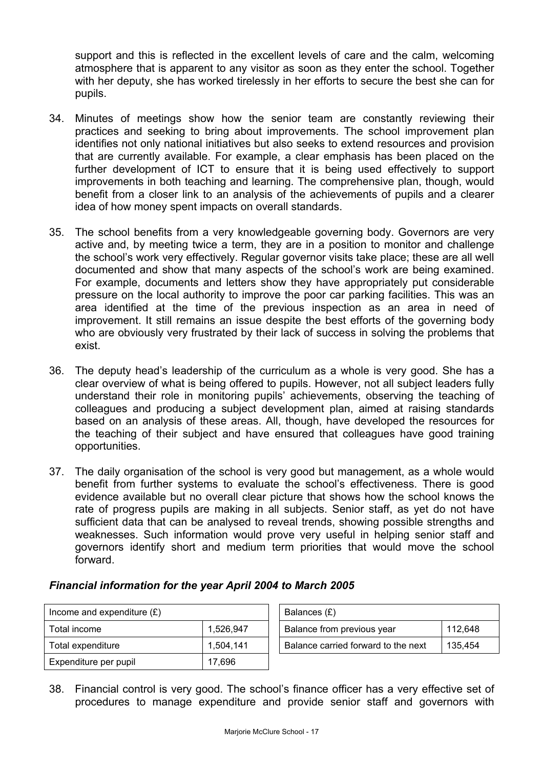support and this is reflected in the excellent levels of care and the calm, welcoming atmosphere that is apparent to any visitor as soon as they enter the school. Together with her deputy, she has worked tirelessly in her efforts to secure the best she can for pupils.

- 34. Minutes of meetings show how the senior team are constantly reviewing their practices and seeking to bring about improvements. The school improvement plan identifies not only national initiatives but also seeks to extend resources and provision that are currently available. For example, a clear emphasis has been placed on the further development of ICT to ensure that it is being used effectively to support improvements in both teaching and learning. The comprehensive plan, though, would benefit from a closer link to an analysis of the achievements of pupils and a clearer idea of how money spent impacts on overall standards.
- 35. The school benefits from a very knowledgeable governing body. Governors are very active and, by meeting twice a term, they are in a position to monitor and challenge the school's work very effectively. Regular governor visits take place; these are all well documented and show that many aspects of the school's work are being examined. For example, documents and letters show they have appropriately put considerable pressure on the local authority to improve the poor car parking facilities. This was an area identified at the time of the previous inspection as an area in need of improvement. It still remains an issue despite the best efforts of the governing body who are obviously very frustrated by their lack of success in solving the problems that exist.
- 36. The deputy head's leadership of the curriculum as a whole is very good. She has a clear overview of what is being offered to pupils. However, not all subject leaders fully understand their role in monitoring pupils' achievements, observing the teaching of colleagues and producing a subject development plan, aimed at raising standards based on an analysis of these areas. All, though, have developed the resources for the teaching of their subject and have ensured that colleagues have good training opportunities.
- 37. The daily organisation of the school is very good but management, as a whole would benefit from further systems to evaluate the school's effectiveness. There is good evidence available but no overall clear picture that shows how the school knows the rate of progress pupils are making in all subjects. Senior staff, as yet do not have sufficient data that can be analysed to reveal trends, showing possible strengths and weaknesses. Such information would prove very useful in helping senior staff and governors identify short and medium term priorities that would move the school forward.

## *Financial information for the year April 2004 to March 2005*

| Income and expenditure $(E)$ |           | Balances (£)                        |         |  |
|------------------------------|-----------|-------------------------------------|---------|--|
| Total income                 | 1.526.947 | Balance from previous year          | 112,648 |  |
| Total expenditure            | 1.504.141 | Balance carried forward to the next | 135.454 |  |
| Expenditure per pupil        | 17.696    |                                     |         |  |

38. Financial control is very good. The school's finance officer has a very effective set of procedures to manage expenditure and provide senior staff and governors with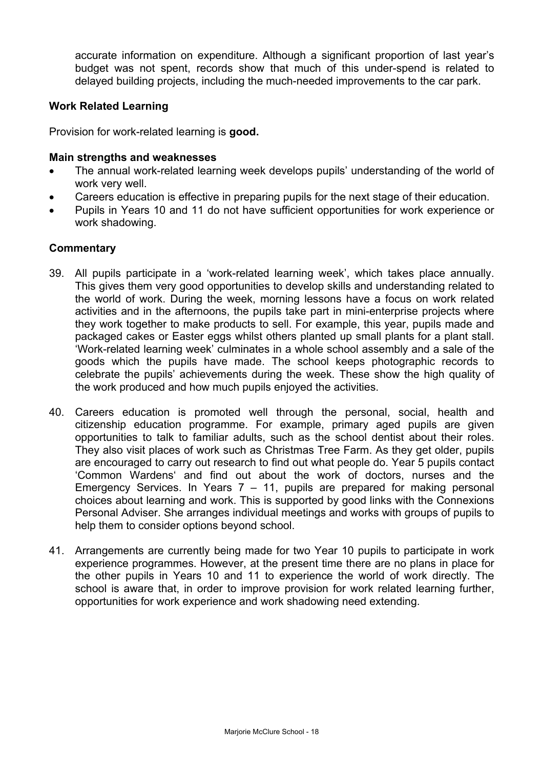accurate information on expenditure. Although a significant proportion of last year's budget was not spent, records show that much of this under-spend is related to delayed building projects, including the much-needed improvements to the car park.

### **Work Related Learning**

Provision for work-related learning is **good.** 

### **Main strengths and weaknesses**

- The annual work-related learning week develops pupils' understanding of the world of work very well.
- Careers education is effective in preparing pupils for the next stage of their education.
- Pupils in Years 10 and 11 do not have sufficient opportunities for work experience or work shadowing.

- 39. All pupils participate in a 'work-related learning week', which takes place annually. This gives them very good opportunities to develop skills and understanding related to the world of work. During the week, morning lessons have a focus on work related activities and in the afternoons, the pupils take part in mini-enterprise projects where they work together to make products to sell. For example, this year, pupils made and packaged cakes or Easter eggs whilst others planted up small plants for a plant stall. 'Work-related learning week' culminates in a whole school assembly and a sale of the goods which the pupils have made. The school keeps photographic records to celebrate the pupils' achievements during the week. These show the high quality of the work produced and how much pupils enjoyed the activities.
- 40. Careers education is promoted well through the personal, social, health and citizenship education programme. For example, primary aged pupils are given opportunities to talk to familiar adults, such as the school dentist about their roles. They also visit places of work such as Christmas Tree Farm. As they get older, pupils are encouraged to carry out research to find out what people do. Year 5 pupils contact 'Common Wardens' and find out about the work of doctors, nurses and the Emergency Services. In Years  $7 - 11$ , pupils are prepared for making personal choices about learning and work. This is supported by good links with the Connexions Personal Adviser. She arranges individual meetings and works with groups of pupils to help them to consider options beyond school.
- 41. Arrangements are currently being made for two Year 10 pupils to participate in work experience programmes. However, at the present time there are no plans in place for the other pupils in Years 10 and 11 to experience the world of work directly. The school is aware that, in order to improve provision for work related learning further, opportunities for work experience and work shadowing need extending.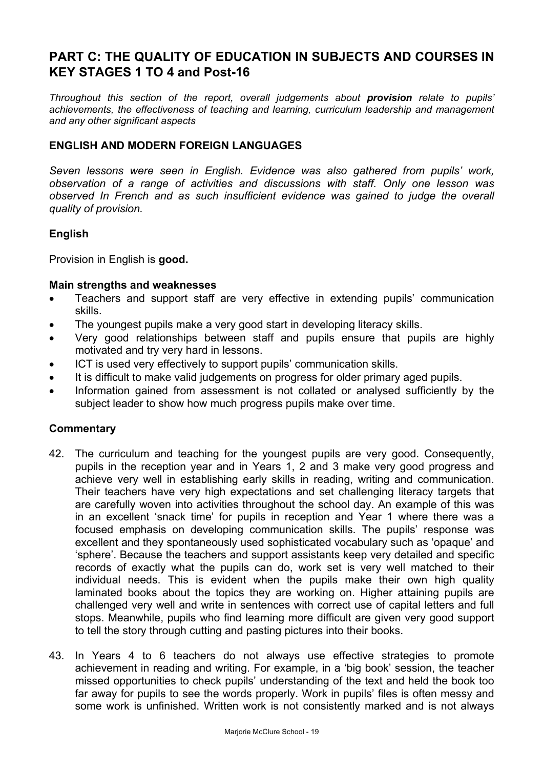## **PART C: THE QUALITY OF EDUCATION IN SUBJECTS AND COURSES IN KEY STAGES 1 TO 4 and Post-16**

*Throughout this section of the report, overall judgements about provision relate to pupils' achievements, the effectiveness of teaching and learning, curriculum leadership and management and any other significant aspects* 

#### **ENGLISH AND MODERN FOREIGN LANGUAGES**

*Seven lessons were seen in English. Evidence was also gathered from pupils' work, observation of a range of activities and discussions with staff. Only one lesson was observed In French and as such insufficient evidence was gained to judge the overall quality of provision.* 

#### **English**

Provision in English is **good.** 

#### **Main strengths and weaknesses**

- Teachers and support staff are very effective in extending pupils' communication skills.
- The youngest pupils make a very good start in developing literacy skills.
- Very good relationships between staff and pupils ensure that pupils are highly motivated and try very hard in lessons.
- ICT is used very effectively to support pupils' communication skills.
- It is difficult to make valid judgements on progress for older primary aged pupils.
- Information gained from assessment is not collated or analysed sufficiently by the subject leader to show how much progress pupils make over time.

- 42. The curriculum and teaching for the youngest pupils are very good. Consequently, pupils in the reception year and in Years 1, 2 and 3 make very good progress and achieve very well in establishing early skills in reading, writing and communication. Their teachers have very high expectations and set challenging literacy targets that are carefully woven into activities throughout the school day. An example of this was in an excellent 'snack time' for pupils in reception and Year 1 where there was a focused emphasis on developing communication skills. The pupils' response was excellent and they spontaneously used sophisticated vocabulary such as 'opaque' and 'sphere'. Because the teachers and support assistants keep very detailed and specific records of exactly what the pupils can do, work set is very well matched to their individual needs. This is evident when the pupils make their own high quality laminated books about the topics they are working on. Higher attaining pupils are challenged very well and write in sentences with correct use of capital letters and full stops. Meanwhile, pupils who find learning more difficult are given very good support to tell the story through cutting and pasting pictures into their books.
- 43. In Years 4 to 6 teachers do not always use effective strategies to promote achievement in reading and writing. For example, in a 'big book' session, the teacher missed opportunities to check pupils' understanding of the text and held the book too far away for pupils to see the words properly. Work in pupils' files is often messy and some work is unfinished. Written work is not consistently marked and is not always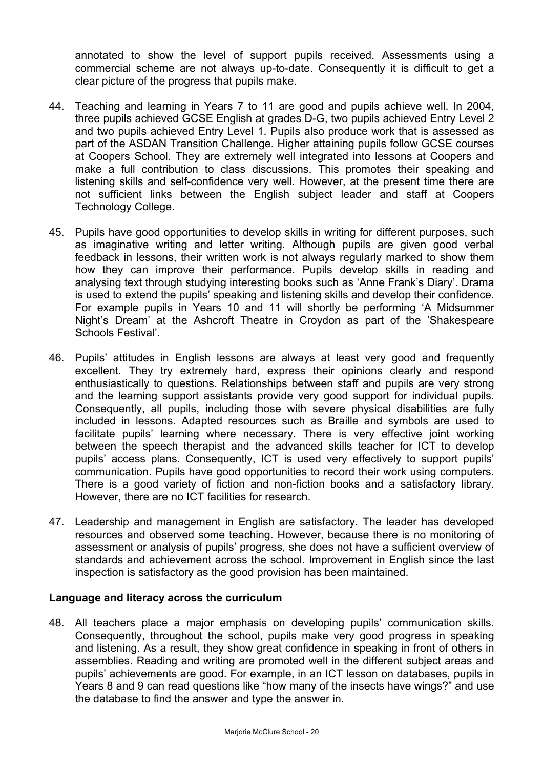annotated to show the level of support pupils received. Assessments using a commercial scheme are not always up-to-date. Consequently it is difficult to get a clear picture of the progress that pupils make.

- 44. Teaching and learning in Years 7 to 11 are good and pupils achieve well. In 2004, three pupils achieved GCSE English at grades D-G, two pupils achieved Entry Level 2 and two pupils achieved Entry Level 1. Pupils also produce work that is assessed as part of the ASDAN Transition Challenge. Higher attaining pupils follow GCSE courses at Coopers School. They are extremely well integrated into lessons at Coopers and make a full contribution to class discussions. This promotes their speaking and listening skills and self-confidence very well. However, at the present time there are not sufficient links between the English subject leader and staff at Coopers Technology College.
- 45. Pupils have good opportunities to develop skills in writing for different purposes, such as imaginative writing and letter writing. Although pupils are given good verbal feedback in lessons, their written work is not always regularly marked to show them how they can improve their performance. Pupils develop skills in reading and analysing text through studying interesting books such as 'Anne Frank's Diary'. Drama is used to extend the pupils' speaking and listening skills and develop their confidence. For example pupils in Years 10 and 11 will shortly be performing 'A Midsummer Night's Dream' at the Ashcroft Theatre in Croydon as part of the 'Shakespeare Schools Festival'.
- 46. Pupils' attitudes in English lessons are always at least very good and frequently excellent. They try extremely hard, express their opinions clearly and respond enthusiastically to questions. Relationships between staff and pupils are very strong and the learning support assistants provide very good support for individual pupils. Consequently, all pupils, including those with severe physical disabilities are fully included in lessons. Adapted resources such as Braille and symbols are used to facilitate pupils' learning where necessary. There is very effective joint working between the speech therapist and the advanced skills teacher for ICT to develop pupils' access plans. Consequently, ICT is used very effectively to support pupils' communication. Pupils have good opportunities to record their work using computers. There is a good variety of fiction and non-fiction books and a satisfactory library. However, there are no ICT facilities for research.
- 47. Leadership and management in English are satisfactory. The leader has developed resources and observed some teaching. However, because there is no monitoring of assessment or analysis of pupils' progress, she does not have a sufficient overview of standards and achievement across the school. Improvement in English since the last inspection is satisfactory as the good provision has been maintained.

#### **Language and literacy across the curriculum**

48. All teachers place a major emphasis on developing pupils' communication skills. Consequently, throughout the school, pupils make very good progress in speaking and listening. As a result, they show great confidence in speaking in front of others in assemblies. Reading and writing are promoted well in the different subject areas and pupils' achievements are good. For example, in an ICT lesson on databases, pupils in Years 8 and 9 can read questions like "how many of the insects have wings?" and use the database to find the answer and type the answer in.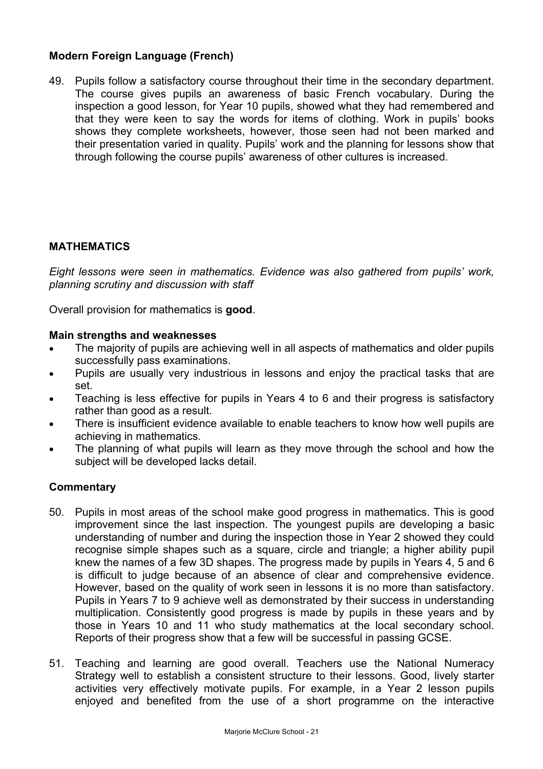## **Modern Foreign Language (French)**

49. Pupils follow a satisfactory course throughout their time in the secondary department. The course gives pupils an awareness of basic French vocabulary. During the inspection a good lesson, for Year 10 pupils, showed what they had remembered and that they were keen to say the words for items of clothing. Work in pupils' books shows they complete worksheets, however, those seen had not been marked and their presentation varied in quality. Pupils' work and the planning for lessons show that through following the course pupils' awareness of other cultures is increased.

#### **MATHEMATICS**

*Eight lessons were seen in mathematics. Evidence was also gathered from pupils' work, planning scrutiny and discussion with staff*

Overall provision for mathematics is **good**.

#### **Main strengths and weaknesses**

- The majority of pupils are achieving well in all aspects of mathematics and older pupils successfully pass examinations.
- Pupils are usually very industrious in lessons and enjoy the practical tasks that are set.
- Teaching is less effective for pupils in Years 4 to 6 and their progress is satisfactory rather than good as a result.
- There is insufficient evidence available to enable teachers to know how well pupils are achieving in mathematics.
- The planning of what pupils will learn as they move through the school and how the subject will be developed lacks detail.

- 50. Pupils in most areas of the school make good progress in mathematics. This is good improvement since the last inspection. The youngest pupils are developing a basic understanding of number and during the inspection those in Year 2 showed they could recognise simple shapes such as a square, circle and triangle; a higher ability pupil knew the names of a few 3D shapes. The progress made by pupils in Years 4, 5 and 6 is difficult to judge because of an absence of clear and comprehensive evidence. However, based on the quality of work seen in lessons it is no more than satisfactory. Pupils in Years 7 to 9 achieve well as demonstrated by their success in understanding multiplication. Consistently good progress is made by pupils in these years and by those in Years 10 and 11 who study mathematics at the local secondary school. Reports of their progress show that a few will be successful in passing GCSE.
- 51. Teaching and learning are good overall. Teachers use the National Numeracy Strategy well to establish a consistent structure to their lessons. Good, lively starter activities very effectively motivate pupils. For example, in a Year 2 lesson pupils enjoyed and benefited from the use of a short programme on the interactive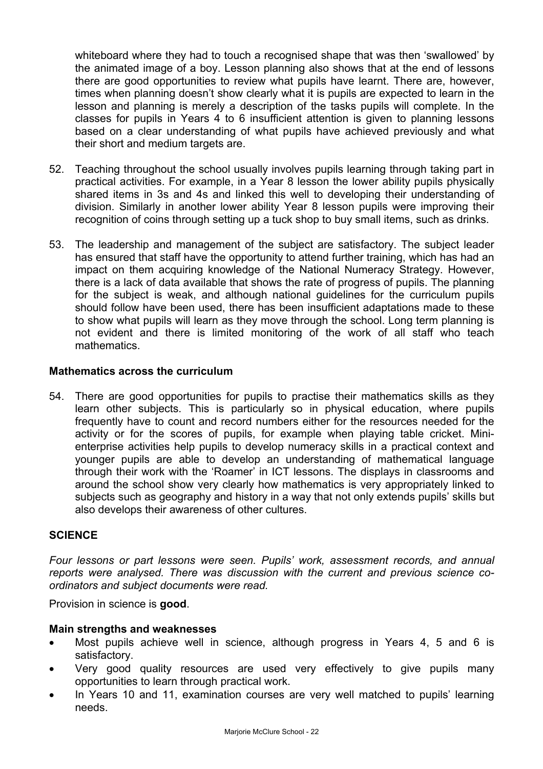whiteboard where they had to touch a recognised shape that was then 'swallowed' by the animated image of a boy. Lesson planning also shows that at the end of lessons there are good opportunities to review what pupils have learnt. There are, however, times when planning doesn't show clearly what it is pupils are expected to learn in the lesson and planning is merely a description of the tasks pupils will complete. In the classes for pupils in Years 4 to 6 insufficient attention is given to planning lessons based on a clear understanding of what pupils have achieved previously and what their short and medium targets are.

- 52. Teaching throughout the school usually involves pupils learning through taking part in practical activities. For example, in a Year 8 lesson the lower ability pupils physically shared items in 3s and 4s and linked this well to developing their understanding of division. Similarly in another lower ability Year 8 lesson pupils were improving their recognition of coins through setting up a tuck shop to buy small items, such as drinks.
- 53. The leadership and management of the subject are satisfactory. The subject leader has ensured that staff have the opportunity to attend further training, which has had an impact on them acquiring knowledge of the National Numeracy Strategy. However, there is a lack of data available that shows the rate of progress of pupils. The planning for the subject is weak, and although national guidelines for the curriculum pupils should follow have been used, there has been insufficient adaptations made to these to show what pupils will learn as they move through the school. Long term planning is not evident and there is limited monitoring of the work of all staff who teach mathematics.

#### **Mathematics across the curriculum**

54. There are good opportunities for pupils to practise their mathematics skills as they learn other subjects. This is particularly so in physical education, where pupils frequently have to count and record numbers either for the resources needed for the activity or for the scores of pupils, for example when playing table cricket. Minienterprise activities help pupils to develop numeracy skills in a practical context and younger pupils are able to develop an understanding of mathematical language through their work with the 'Roamer' in ICT lessons. The displays in classrooms and around the school show very clearly how mathematics is very appropriately linked to subjects such as geography and history in a way that not only extends pupils' skills but also develops their awareness of other cultures.

#### **SCIENCE**

*Four lessons or part lessons were seen. Pupils' work, assessment records, and annual reports were analysed. There was discussion with the current and previous science coordinators and subject documents were read.* 

Provision in science is **good**.

#### **Main strengths and weaknesses**

- Most pupils achieve well in science, although progress in Years 4, 5 and 6 is satisfactory.
- Very good quality resources are used very effectively to give pupils many opportunities to learn through practical work.
- In Years 10 and 11, examination courses are very well matched to pupils' learning needs.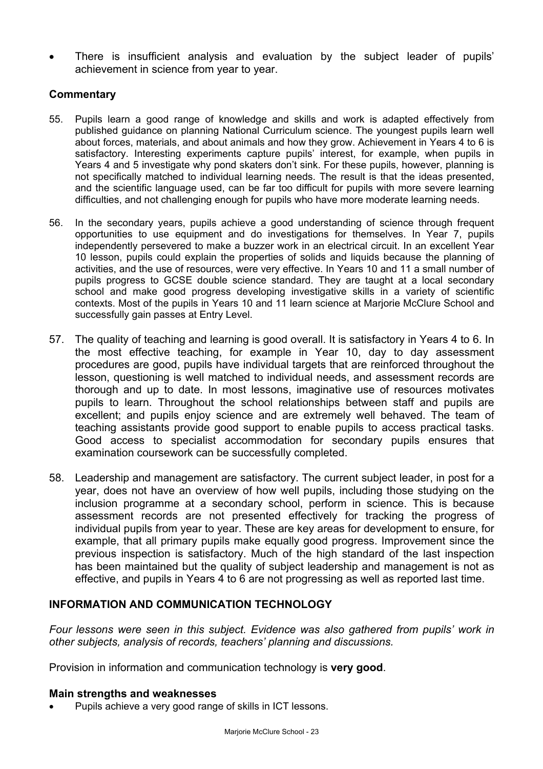There is insufficient analysis and evaluation by the subject leader of pupils' achievement in science from year to year.

## **Commentary**

- 55. Pupils learn a good range of knowledge and skills and work is adapted effectively from published guidance on planning National Curriculum science. The youngest pupils learn well about forces, materials, and about animals and how they grow. Achievement in Years 4 to 6 is satisfactory. Interesting experiments capture pupils' interest, for example, when pupils in Years 4 and 5 investigate why pond skaters don't sink. For these pupils, however, planning is not specifically matched to individual learning needs. The result is that the ideas presented, and the scientific language used, can be far too difficult for pupils with more severe learning difficulties, and not challenging enough for pupils who have more moderate learning needs.
- 56. In the secondary years, pupils achieve a good understanding of science through frequent opportunities to use equipment and do investigations for themselves. In Year 7, pupils independently persevered to make a buzzer work in an electrical circuit. In an excellent Year 10 lesson, pupils could explain the properties of solids and liquids because the planning of activities, and the use of resources, were very effective. In Years 10 and 11 a small number of pupils progress to GCSE double science standard. They are taught at a local secondary school and make good progress developing investigative skills in a variety of scientific contexts. Most of the pupils in Years 10 and 11 learn science at Marjorie McClure School and successfully gain passes at Entry Level.
- 57. The quality of teaching and learning is good overall. It is satisfactory in Years 4 to 6. In the most effective teaching, for example in Year 10, day to day assessment procedures are good, pupils have individual targets that are reinforced throughout the lesson, questioning is well matched to individual needs, and assessment records are thorough and up to date. In most lessons, imaginative use of resources motivates pupils to learn. Throughout the school relationships between staff and pupils are excellent; and pupils enjoy science and are extremely well behaved. The team of teaching assistants provide good support to enable pupils to access practical tasks. Good access to specialist accommodation for secondary pupils ensures that examination coursework can be successfully completed.
- 58. Leadership and management are satisfactory. The current subject leader, in post for a year, does not have an overview of how well pupils, including those studying on the inclusion programme at a secondary school, perform in science. This is because assessment records are not presented effectively for tracking the progress of individual pupils from year to year. These are key areas for development to ensure, for example, that all primary pupils make equally good progress. Improvement since the previous inspection is satisfactory. Much of the high standard of the last inspection has been maintained but the quality of subject leadership and management is not as effective, and pupils in Years 4 to 6 are not progressing as well as reported last time.

## **INFORMATION AND COMMUNICATION TECHNOLOGY**

*Four lessons were seen in this subject. Evidence was also gathered from pupils' work in other subjects, analysis of records, teachers' planning and discussions.*

Provision in information and communication technology is **very good**.

#### **Main strengths and weaknesses**

• Pupils achieve a very good range of skills in ICT lessons.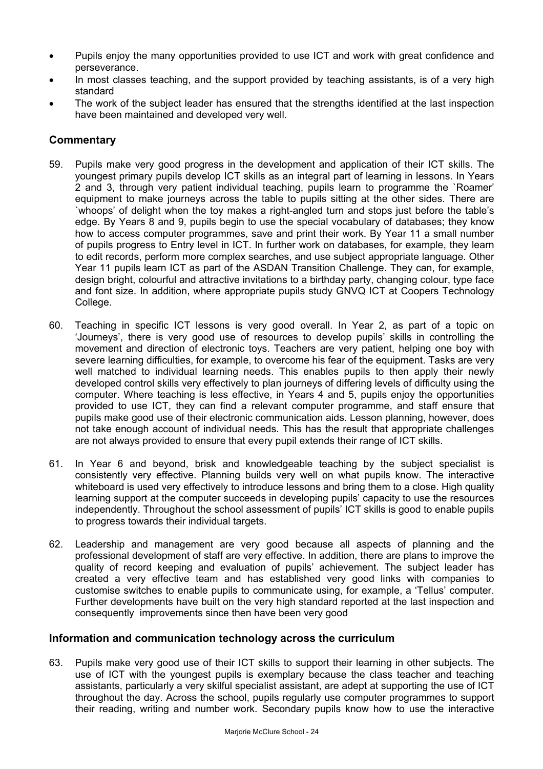- Pupils enjoy the many opportunities provided to use ICT and work with great confidence and perseverance.
- In most classes teaching, and the support provided by teaching assistants, is of a very high standard
- The work of the subject leader has ensured that the strengths identified at the last inspection have been maintained and developed very well.

## **Commentary**

- 59. Pupils make very good progress in the development and application of their ICT skills. The youngest primary pupils develop ICT skills as an integral part of learning in lessons. In Years 2 and 3, through very patient individual teaching, pupils learn to programme the `Roamer' equipment to make journeys across the table to pupils sitting at the other sides. There are `whoops' of delight when the toy makes a right-angled turn and stops just before the table's edge. By Years 8 and 9, pupils begin to use the special vocabulary of databases; they know how to access computer programmes, save and print their work. By Year 11 a small number of pupils progress to Entry level in ICT. In further work on databases, for example, they learn to edit records, perform more complex searches, and use subject appropriate language. Other Year 11 pupils learn ICT as part of the ASDAN Transition Challenge. They can, for example, design bright, colourful and attractive invitations to a birthday party, changing colour, type face and font size. In addition, where appropriate pupils study GNVQ ICT at Coopers Technology College.
- 60. Teaching in specific ICT lessons is very good overall. In Year 2, as part of a topic on 'Journeys', there is very good use of resources to develop pupils' skills in controlling the movement and direction of electronic toys. Teachers are very patient, helping one boy with severe learning difficulties, for example, to overcome his fear of the equipment. Tasks are very well matched to individual learning needs. This enables pupils to then apply their newly developed control skills very effectively to plan journeys of differing levels of difficulty using the computer. Where teaching is less effective, in Years 4 and 5, pupils enjoy the opportunities provided to use ICT, they can find a relevant computer programme, and staff ensure that pupils make good use of their electronic communication aids. Lesson planning, however, does not take enough account of individual needs. This has the result that appropriate challenges are not always provided to ensure that every pupil extends their range of ICT skills.
- 61. In Year 6 and beyond, brisk and knowledgeable teaching by the subject specialist is consistently very effective. Planning builds very well on what pupils know. The interactive whiteboard is used very effectively to introduce lessons and bring them to a close. High quality learning support at the computer succeeds in developing pupils' capacity to use the resources independently. Throughout the school assessment of pupils' ICT skills is good to enable pupils to progress towards their individual targets.
- 62. Leadership and management are very good because all aspects of planning and the professional development of staff are very effective. In addition, there are plans to improve the quality of record keeping and evaluation of pupils' achievement. The subject leader has created a very effective team and has established very good links with companies to customise switches to enable pupils to communicate using, for example, a 'Tellus' computer. Further developments have built on the very high standard reported at the last inspection and consequently improvements since then have been very good

#### **Information and communication technology across the curriculum**

63. Pupils make very good use of their ICT skills to support their learning in other subjects. The use of ICT with the youngest pupils is exemplary because the class teacher and teaching assistants, particularly a very skilful specialist assistant, are adept at supporting the use of ICT throughout the day. Across the school, pupils regularly use computer programmes to support their reading, writing and number work. Secondary pupils know how to use the interactive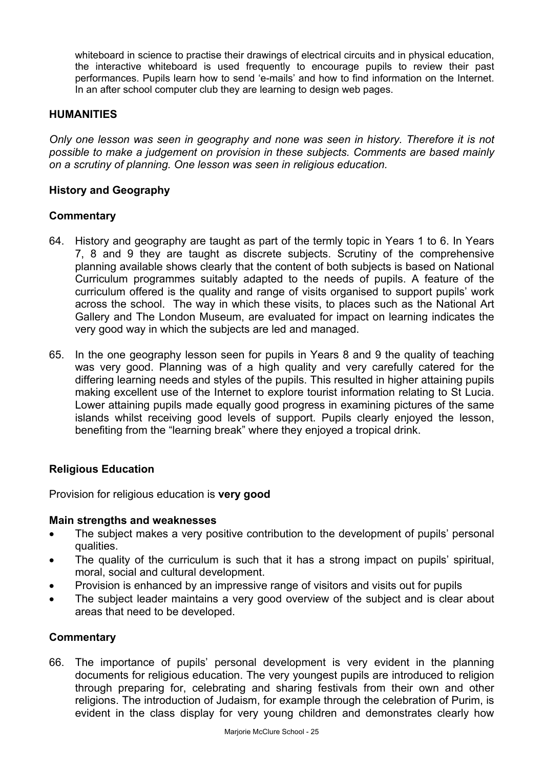whiteboard in science to practise their drawings of electrical circuits and in physical education, the interactive whiteboard is used frequently to encourage pupils to review their past performances. Pupils learn how to send 'e-mails' and how to find information on the Internet. In an after school computer club they are learning to design web pages.

#### **HUMANITIES**

*Only one lesson was seen in geography and none was seen in history. Therefore it is not possible to make a judgement on provision in these subjects. Comments are based mainly on a scrutiny of planning. One lesson was seen in religious education.* 

#### **History and Geography**

## **Commentary**

- 64. History and geography are taught as part of the termly topic in Years 1 to 6. In Years 7, 8 and 9 they are taught as discrete subjects. Scrutiny of the comprehensive planning available shows clearly that the content of both subjects is based on National Curriculum programmes suitably adapted to the needs of pupils. A feature of the curriculum offered is the quality and range of visits organised to support pupils' work across the school. The way in which these visits, to places such as the National Art Gallery and The London Museum, are evaluated for impact on learning indicates the very good way in which the subjects are led and managed.
- 65. In the one geography lesson seen for pupils in Years 8 and 9 the quality of teaching was very good. Planning was of a high quality and very carefully catered for the differing learning needs and styles of the pupils. This resulted in higher attaining pupils making excellent use of the Internet to explore tourist information relating to St Lucia. Lower attaining pupils made equally good progress in examining pictures of the same islands whilst receiving good levels of support. Pupils clearly enjoyed the lesson, benefiting from the "learning break" where they enjoyed a tropical drink.

#### **Religious Education**

Provision for religious education is **very good** 

#### **Main strengths and weaknesses**

- The subject makes a very positive contribution to the development of pupils' personal qualities.
- The quality of the curriculum is such that it has a strong impact on pupils' spiritual, moral, social and cultural development.
- Provision is enhanced by an impressive range of visitors and visits out for pupils
- The subject leader maintains a very good overview of the subject and is clear about areas that need to be developed.

#### **Commentary**

66. The importance of pupils' personal development is very evident in the planning documents for religious education. The very youngest pupils are introduced to religion through preparing for, celebrating and sharing festivals from their own and other religions. The introduction of Judaism, for example through the celebration of Purim, is evident in the class display for very young children and demonstrates clearly how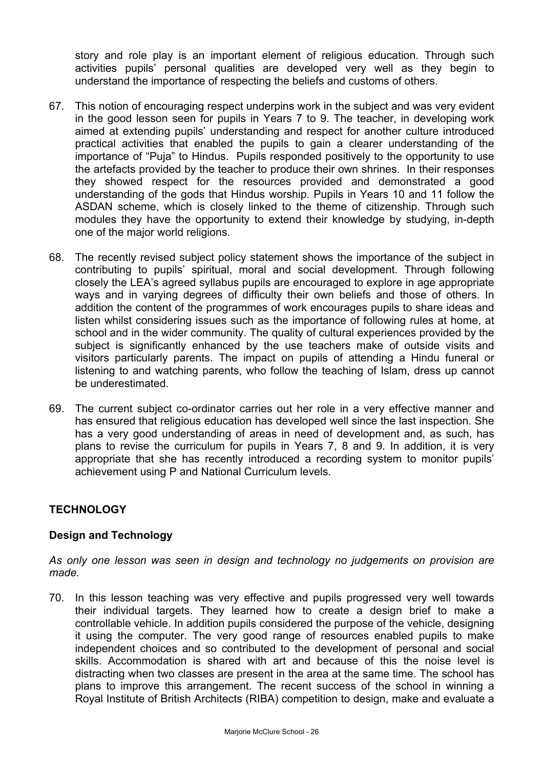story and role play is an important element of religious education. Through such activities pupils' personal qualities are developed very well as they begin to understand the importance of respecting the beliefs and customs of others.

- 67. This notion of encouraging respect underpins work in the subject and was very evident in the good lesson seen for pupils in Years 7 to 9. The teacher, in developing work aimed at extending pupils' understanding and respect for another culture introduced practical activities that enabled the pupils to gain a clearer understanding of the importance of "Puja" to Hindus. Pupils responded positively to the opportunity to use the artefacts provided by the teacher to produce their own shrines. In their responses they showed respect for the resources provided and demonstrated a good understanding of the gods that Hindus worship. Pupils in Years 10 and 11 follow the ASDAN scheme, which is closely linked to the theme of citizenship. Through such modules they have the opportunity to extend their knowledge by studying, in-depth one of the major world religions.
- 68. The recently revised subject policy statement shows the importance of the subject in contributing to pupils' spiritual, moral and social development. Through following closely the LEA's agreed syllabus pupils are encouraged to explore in age appropriate ways and in varying degrees of difficulty their own beliefs and those of others. In addition the content of the programmes of work encourages pupils to share ideas and listen whilst considering issues such as the importance of following rules at home, at school and in the wider community. The quality of cultural experiences provided by the subject is significantly enhanced by the use teachers make of outside visits and visitors particularly parents. The impact on pupils of attending a Hindu funeral or listening to and watching parents, who follow the teaching of Islam, dress up cannot be underestimated.
- 69. The current subject co-ordinator carries out her role in a very effective manner and has ensured that religious education has developed well since the last inspection. She has a very good understanding of areas in need of development and, as such, has plans to revise the curriculum for pupils in Years 7, 8 and 9. In addition, it is very appropriate that she has recently introduced a recording system to monitor pupils' achievement using P and National Curriculum levels.

## **TECHNOLOGY**

#### **Design and Technology**

*As only one lesson was seen in design and technology no judgements on provision are made.*

70. In this lesson teaching was very effective and pupils progressed very well towards their individual targets. They learned how to create a design brief to make a controllable vehicle. In addition pupils considered the purpose of the vehicle, designing it using the computer. The very good range of resources enabled pupils to make independent choices and so contributed to the development of personal and social skills. Accommodation is shared with art and because of this the noise level is distracting when two classes are present in the area at the same time. The school has plans to improve this arrangement. The recent success of the school in winning a Royal Institute of British Architects (RIBA) competition to design, make and evaluate a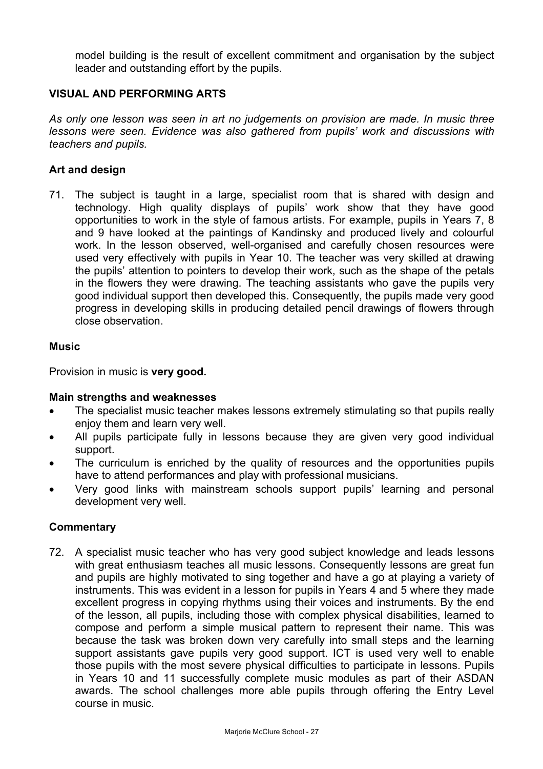model building is the result of excellent commitment and organisation by the subject leader and outstanding effort by the pupils.

## **VISUAL AND PERFORMING ARTS**

*As only one lesson was seen in art no judgements on provision are made. In music three lessons were seen. Evidence was also gathered from pupils' work and discussions with teachers and pupils.* 

#### **Art and design**

71. The subject is taught in a large, specialist room that is shared with design and technology. High quality displays of pupils' work show that they have good opportunities to work in the style of famous artists. For example, pupils in Years 7, 8 and 9 have looked at the paintings of Kandinsky and produced lively and colourful work. In the lesson observed, well-organised and carefully chosen resources were used very effectively with pupils in Year 10. The teacher was very skilled at drawing the pupils' attention to pointers to develop their work, such as the shape of the petals in the flowers they were drawing. The teaching assistants who gave the pupils very good individual support then developed this. Consequently, the pupils made very good progress in developing skills in producing detailed pencil drawings of flowers through close observation.

#### **Music**

Provision in music is **very good.** 

#### **Main strengths and weaknesses**

- The specialist music teacher makes lessons extremely stimulating so that pupils really enjoy them and learn very well.
- All pupils participate fully in lessons because they are given very good individual support.
- The curriculum is enriched by the quality of resources and the opportunities pupils have to attend performances and play with professional musicians.
- Very good links with mainstream schools support pupils' learning and personal development very well.

#### **Commentary**

72. A specialist music teacher who has very good subject knowledge and leads lessons with great enthusiasm teaches all music lessons. Consequently lessons are great fun and pupils are highly motivated to sing together and have a go at playing a variety of instruments. This was evident in a lesson for pupils in Years 4 and 5 where they made excellent progress in copying rhythms using their voices and instruments. By the end of the lesson, all pupils, including those with complex physical disabilities, learned to compose and perform a simple musical pattern to represent their name. This was because the task was broken down very carefully into small steps and the learning support assistants gave pupils very good support. ICT is used very well to enable those pupils with the most severe physical difficulties to participate in lessons. Pupils in Years 10 and 11 successfully complete music modules as part of their ASDAN awards. The school challenges more able pupils through offering the Entry Level course in music.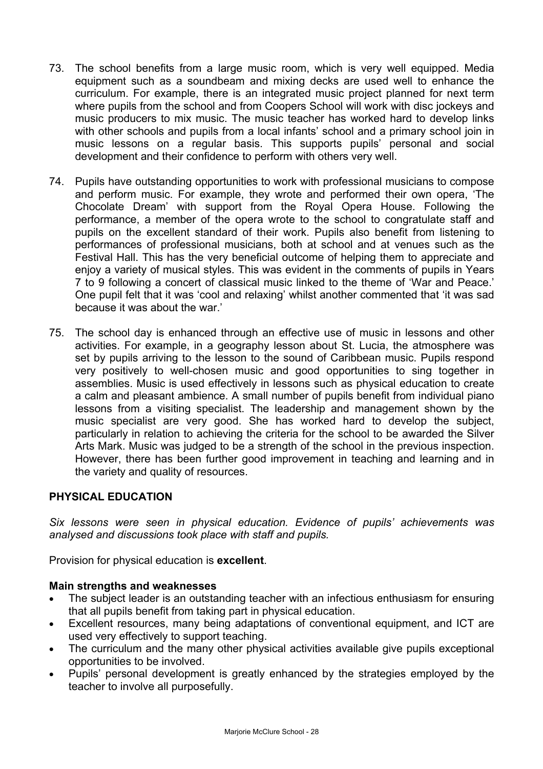- 73. The school benefits from a large music room, which is very well equipped. Media equipment such as a soundbeam and mixing decks are used well to enhance the curriculum. For example, there is an integrated music project planned for next term where pupils from the school and from Coopers School will work with disc jockeys and music producers to mix music. The music teacher has worked hard to develop links with other schools and pupils from a local infants' school and a primary school join in music lessons on a regular basis. This supports pupils' personal and social development and their confidence to perform with others very well.
- 74. Pupils have outstanding opportunities to work with professional musicians to compose and perform music. For example, they wrote and performed their own opera, 'The Chocolate Dream' with support from the Royal Opera House. Following the performance, a member of the opera wrote to the school to congratulate staff and pupils on the excellent standard of their work. Pupils also benefit from listening to performances of professional musicians, both at school and at venues such as the Festival Hall. This has the very beneficial outcome of helping them to appreciate and enjoy a variety of musical styles. This was evident in the comments of pupils in Years 7 to 9 following a concert of classical music linked to the theme of 'War and Peace.' One pupil felt that it was 'cool and relaxing' whilst another commented that 'it was sad because it was about the war.'
- 75. The school day is enhanced through an effective use of music in lessons and other activities. For example, in a geography lesson about St. Lucia, the atmosphere was set by pupils arriving to the lesson to the sound of Caribbean music. Pupils respond very positively to well-chosen music and good opportunities to sing together in assemblies. Music is used effectively in lessons such as physical education to create a calm and pleasant ambience. A small number of pupils benefit from individual piano lessons from a visiting specialist. The leadership and management shown by the music specialist are very good. She has worked hard to develop the subject, particularly in relation to achieving the criteria for the school to be awarded the Silver Arts Mark. Music was judged to be a strength of the school in the previous inspection. However, there has been further good improvement in teaching and learning and in the variety and quality of resources.

#### **PHYSICAL EDUCATION**

*Six lessons were seen in physical education. Evidence of pupils' achievements was analysed and discussions took place with staff and pupils.* 

Provision for physical education is **excellent**.

#### **Main strengths and weaknesses**

- The subject leader is an outstanding teacher with an infectious enthusiasm for ensuring that all pupils benefit from taking part in physical education.
- Excellent resources, many being adaptations of conventional equipment, and ICT are used very effectively to support teaching.
- The curriculum and the many other physical activities available give pupils exceptional opportunities to be involved.
- Pupils' personal development is greatly enhanced by the strategies employed by the teacher to involve all purposefully.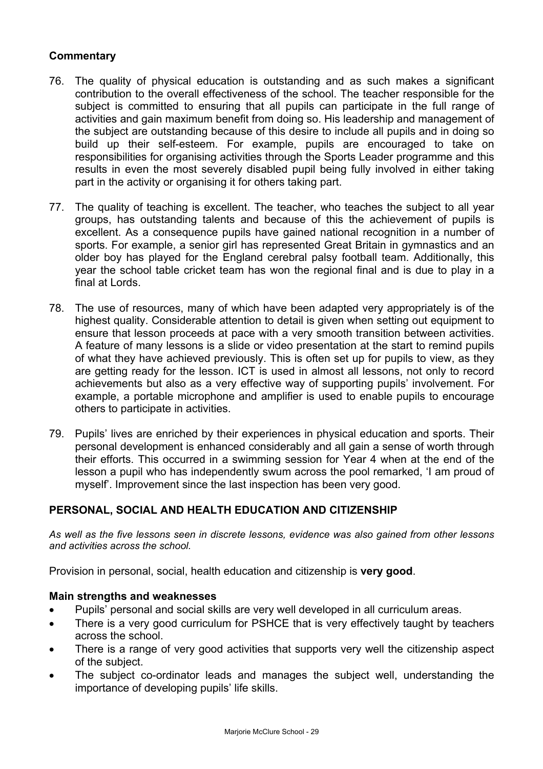## **Commentary**

- 76. The quality of physical education is outstanding and as such makes a significant contribution to the overall effectiveness of the school. The teacher responsible for the subject is committed to ensuring that all pupils can participate in the full range of activities and gain maximum benefit from doing so. His leadership and management of the subject are outstanding because of this desire to include all pupils and in doing so build up their self-esteem. For example, pupils are encouraged to take on responsibilities for organising activities through the Sports Leader programme and this results in even the most severely disabled pupil being fully involved in either taking part in the activity or organising it for others taking part.
- 77. The quality of teaching is excellent. The teacher, who teaches the subject to all year groups, has outstanding talents and because of this the achievement of pupils is excellent. As a consequence pupils have gained national recognition in a number of sports. For example, a senior girl has represented Great Britain in gymnastics and an older boy has played for the England cerebral palsy football team. Additionally, this year the school table cricket team has won the regional final and is due to play in a final at Lords.
- 78. The use of resources, many of which have been adapted very appropriately is of the highest quality. Considerable attention to detail is given when setting out equipment to ensure that lesson proceeds at pace with a very smooth transition between activities. A feature of many lessons is a slide or video presentation at the start to remind pupils of what they have achieved previously. This is often set up for pupils to view, as they are getting ready for the lesson. ICT is used in almost all lessons, not only to record achievements but also as a very effective way of supporting pupils' involvement. For example, a portable microphone and amplifier is used to enable pupils to encourage others to participate in activities.
- 79. Pupils' lives are enriched by their experiences in physical education and sports. Their personal development is enhanced considerably and all gain a sense of worth through their efforts. This occurred in a swimming session for Year 4 when at the end of the lesson a pupil who has independently swum across the pool remarked, 'I am proud of myself'. Improvement since the last inspection has been very good.

## **PERSONAL, SOCIAL AND HEALTH EDUCATION AND CITIZENSHIP**

*As well as the five lessons seen in discrete lessons, evidence was also gained from other lessons and activities across the school.* 

Provision in personal, social, health education and citizenship is **very good**.

#### **Main strengths and weaknesses**

- Pupils' personal and social skills are very well developed in all curriculum areas.
- There is a very good curriculum for PSHCE that is very effectively taught by teachers across the school.
- There is a range of very good activities that supports very well the citizenship aspect of the subject.
- The subject co-ordinator leads and manages the subject well, understanding the importance of developing pupils' life skills.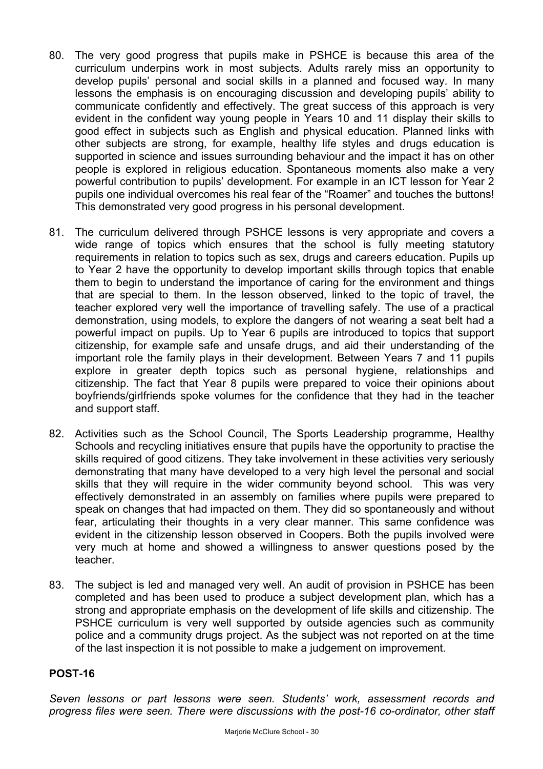- 80. The very good progress that pupils make in PSHCE is because this area of the curriculum underpins work in most subjects. Adults rarely miss an opportunity to develop pupils' personal and social skills in a planned and focused way. In many lessons the emphasis is on encouraging discussion and developing pupils' ability to communicate confidently and effectively. The great success of this approach is very evident in the confident way young people in Years 10 and 11 display their skills to good effect in subjects such as English and physical education. Planned links with other subjects are strong, for example, healthy life styles and drugs education is supported in science and issues surrounding behaviour and the impact it has on other people is explored in religious education. Spontaneous moments also make a very powerful contribution to pupils' development. For example in an ICT lesson for Year 2 pupils one individual overcomes his real fear of the "Roamer" and touches the buttons! This demonstrated very good progress in his personal development.
- 81. The curriculum delivered through PSHCE lessons is very appropriate and covers a wide range of topics which ensures that the school is fully meeting statutory requirements in relation to topics such as sex, drugs and careers education. Pupils up to Year 2 have the opportunity to develop important skills through topics that enable them to begin to understand the importance of caring for the environment and things that are special to them. In the lesson observed, linked to the topic of travel, the teacher explored very well the importance of travelling safely. The use of a practical demonstration, using models, to explore the dangers of not wearing a seat belt had a powerful impact on pupils. Up to Year 6 pupils are introduced to topics that support citizenship, for example safe and unsafe drugs, and aid their understanding of the important role the family plays in their development. Between Years 7 and 11 pupils explore in greater depth topics such as personal hygiene, relationships and citizenship. The fact that Year 8 pupils were prepared to voice their opinions about boyfriends/girlfriends spoke volumes for the confidence that they had in the teacher and support staff.
- 82. Activities such as the School Council, The Sports Leadership programme, Healthy Schools and recycling initiatives ensure that pupils have the opportunity to practise the skills required of good citizens. They take involvement in these activities very seriously demonstrating that many have developed to a very high level the personal and social skills that they will require in the wider community beyond school. This was very effectively demonstrated in an assembly on families where pupils were prepared to speak on changes that had impacted on them. They did so spontaneously and without fear, articulating their thoughts in a very clear manner. This same confidence was evident in the citizenship lesson observed in Coopers. Both the pupils involved were very much at home and showed a willingness to answer questions posed by the teacher.
- 83. The subject is led and managed very well. An audit of provision in PSHCE has been completed and has been used to produce a subject development plan, which has a strong and appropriate emphasis on the development of life skills and citizenship. The PSHCE curriculum is very well supported by outside agencies such as community police and a community drugs project. As the subject was not reported on at the time of the last inspection it is not possible to make a judgement on improvement.

#### **POST-16**

*Seven lessons or part lessons were seen. Students' work, assessment records and progress files were seen. There were discussions with the post-16 co-ordinator, other staff*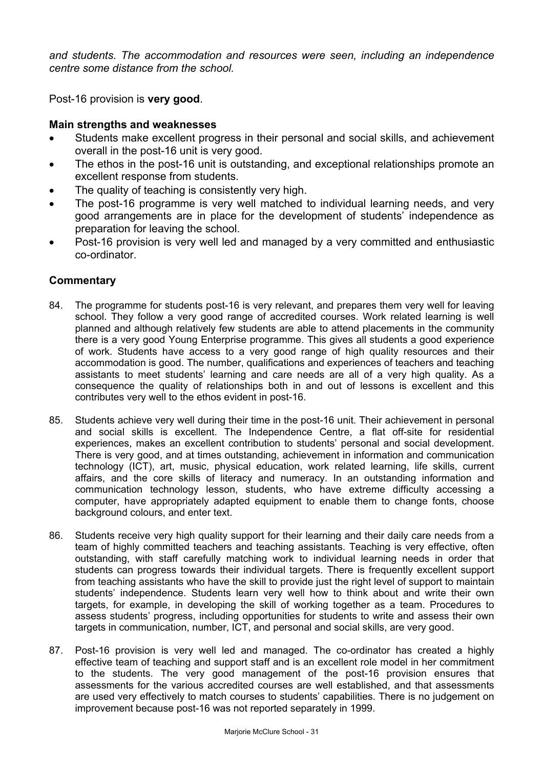*and students. The accommodation and resources were seen, including an independence centre some distance from the school.* 

Post-16 provision is **very good**.

#### **Main strengths and weaknesses**

- Students make excellent progress in their personal and social skills, and achievement overall in the post-16 unit is very good.
- The ethos in the post-16 unit is outstanding, and exceptional relationships promote an excellent response from students.
- The quality of teaching is consistently very high.
- The post-16 programme is very well matched to individual learning needs, and very good arrangements are in place for the development of students' independence as preparation for leaving the school.
- Post-16 provision is very well led and managed by a very committed and enthusiastic co-ordinator.

- 84. The programme for students post-16 is very relevant, and prepares them very well for leaving school. They follow a very good range of accredited courses. Work related learning is well planned and although relatively few students are able to attend placements in the community there is a very good Young Enterprise programme. This gives all students a good experience of work. Students have access to a very good range of high quality resources and their accommodation is good. The number, qualifications and experiences of teachers and teaching assistants to meet students' learning and care needs are all of a very high quality. As a consequence the quality of relationships both in and out of lessons is excellent and this contributes very well to the ethos evident in post-16.
- 85. Students achieve very well during their time in the post-16 unit. Their achievement in personal and social skills is excellent. The Independence Centre, a flat off-site for residential experiences, makes an excellent contribution to students' personal and social development. There is very good, and at times outstanding, achievement in information and communication technology (ICT), art, music, physical education, work related learning, life skills, current affairs, and the core skills of literacy and numeracy. In an outstanding information and communication technology lesson, students, who have extreme difficulty accessing a computer, have appropriately adapted equipment to enable them to change fonts, choose background colours, and enter text.
- 86. Students receive very high quality support for their learning and their daily care needs from a team of highly committed teachers and teaching assistants. Teaching is very effective, often outstanding, with staff carefully matching work to individual learning needs in order that students can progress towards their individual targets. There is frequently excellent support from teaching assistants who have the skill to provide just the right level of support to maintain students' independence. Students learn very well how to think about and write their own targets, for example, in developing the skill of working together as a team. Procedures to assess students' progress, including opportunities for students to write and assess their own targets in communication, number, ICT, and personal and social skills, are very good.
- 87. Post-16 provision is very well led and managed. The co-ordinator has created a highly effective team of teaching and support staff and is an excellent role model in her commitment to the students. The very good management of the post-16 provision ensures that assessments for the various accredited courses are well established, and that assessments are used very effectively to match courses to students' capabilities. There is no judgement on improvement because post-16 was not reported separately in 1999.